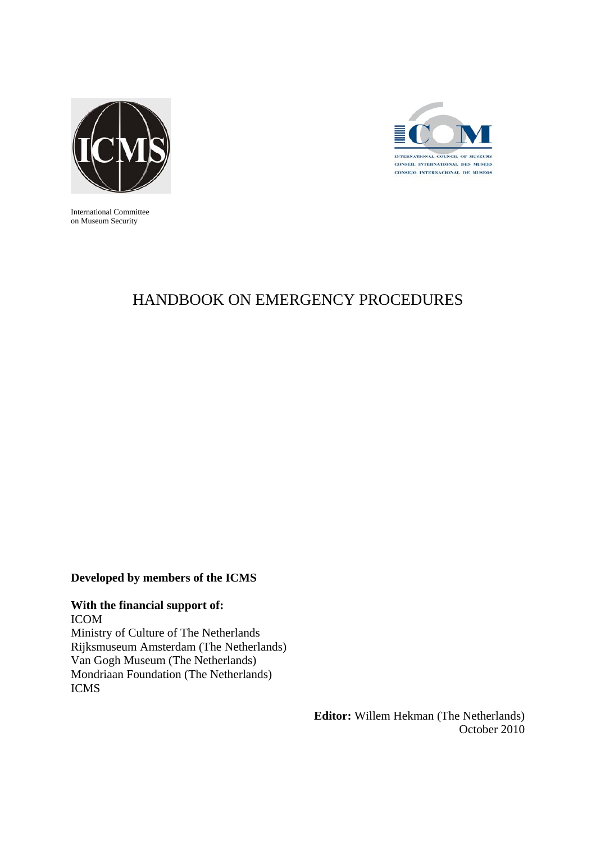



International Committee on Museum Security

# HANDBOOK ON EMERGENCY PROCEDURES

### **Developed by members of the ICMS**

### **With the financial support of:**

ICOM Ministry of Culture of The Netherlands Rijksmuseum Amsterdam (The Netherlands) Van Gogh Museum (The Netherlands) Mondriaan Foundation (The Netherlands) ICMS

> **Editor:** Willem Hekman (The Netherlands) October 2010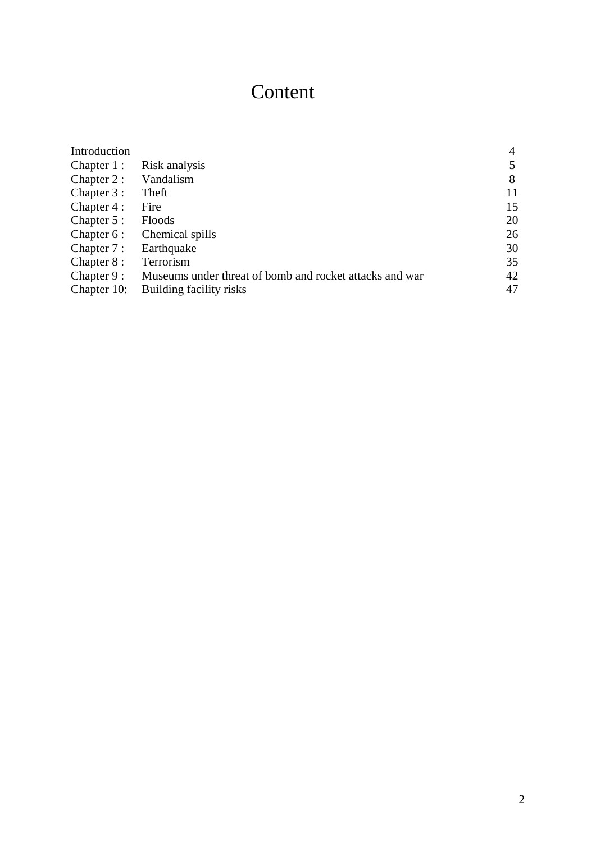# Content

| Introduction  |                                                         |    |
|---------------|---------------------------------------------------------|----|
| Chapter $1$ : | Risk analysis                                           |    |
| Chapter 2:    | Vandalism                                               | 8  |
| Chapter 3 :   | Theft                                                   | 11 |
| Chapter 4 :   | Fire                                                    | 15 |
| Chapter 5 :   | Floods                                                  | 20 |
| Chapter 6 :   | Chemical spills                                         | 26 |
| Chapter 7 :   | Earthquake                                              | 30 |
| Chapter 8 :   | Terrorism                                               | 35 |
| Chapter $9:$  | Museums under threat of bomb and rocket attacks and war | 42 |
| Chapter 10:   | Building facility risks                                 | 47 |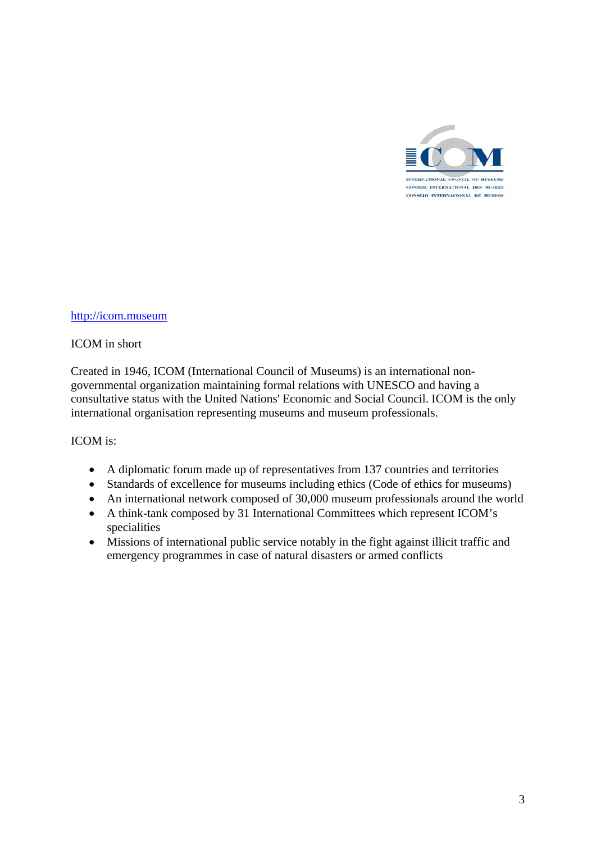

### [http://icom.museum](http://icom.museum/)

### ICOM in short

Created in 1946, ICOM (International Council of Museums) is an international nongovernmental organization maintaining formal relations with UNESCO and having a consultative status with the United Nations' Economic and Social Council. ICOM is the only international organisation representing museums and museum professionals.

### ICOM is:

- A diplomatic forum made up of representatives from 137 countries and territories
- Standards of excellence for museums including ethics (Code of ethics for museums)
- An international network composed of 30,000 museum professionals around the world
- A think-tank composed by 31 International Committees which represent ICOM's specialities
- Missions of international public service notably in the fight against illicit traffic and emergency programmes in case of natural disasters or armed conflicts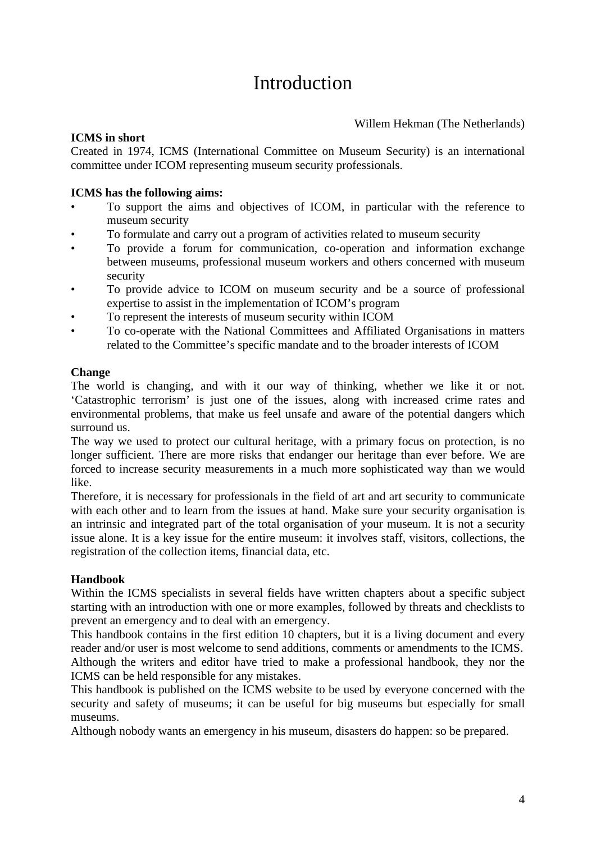# Introduction

### Willem Hekman (The Netherlands)

### **ICMS in short**

Created in 1974, ICMS (International Committee on Museum Security) is an international committee under ICOM representing museum security professionals.

### **ICMS has the following aims:**

- To support the aims and objectives of ICOM, in particular with the reference to museum security
- To formulate and carry out a program of activities related to museum security
- To provide a forum for communication, co-operation and information exchange between museums, professional museum workers and others concerned with museum security
- To provide advice to ICOM on museum security and be a source of professional expertise to assist in the implementation of ICOM's program
- To represent the interests of museum security within ICOM
- To co-operate with the National Committees and Affiliated Organisations in matters related to the Committee's specific mandate and to the broader interests of ICOM

### **Change**

The world is changing, and with it our way of thinking, whether we like it or not. 'Catastrophic terrorism' is just one of the issues, along with increased crime rates and environmental problems, that make us feel unsafe and aware of the potential dangers which surround us.

The way we used to protect our cultural heritage, with a primary focus on protection, is no longer sufficient. There are more risks that endanger our heritage than ever before. We are forced to increase security measurements in a much more sophisticated way than we would like.

Therefore, it is necessary for professionals in the field of art and art security to communicate with each other and to learn from the issues at hand. Make sure your security organisation is an intrinsic and integrated part of the total organisation of your museum. It is not a security issue alone. It is a key issue for the entire museum: it involves staff, visitors, collections, the registration of the collection items, financial data, etc.

### **Handbook**

Within the ICMS specialists in several fields have written chapters about a specific subject starting with an introduction with one or more examples, followed by threats and checklists to prevent an emergency and to deal with an emergency.

This handbook contains in the first edition 10 chapters, but it is a living document and every reader and/or user is most welcome to send additions, comments or amendments to the ICMS. Although the writers and editor have tried to make a professional handbook, they nor the ICMS can be held responsible for any mistakes.

This handbook is published on the ICMS website to be used by everyone concerned with the security and safety of museums; it can be useful for big museums but especially for small museums.

Although nobody wants an emergency in his museum, disasters do happen: so be prepared.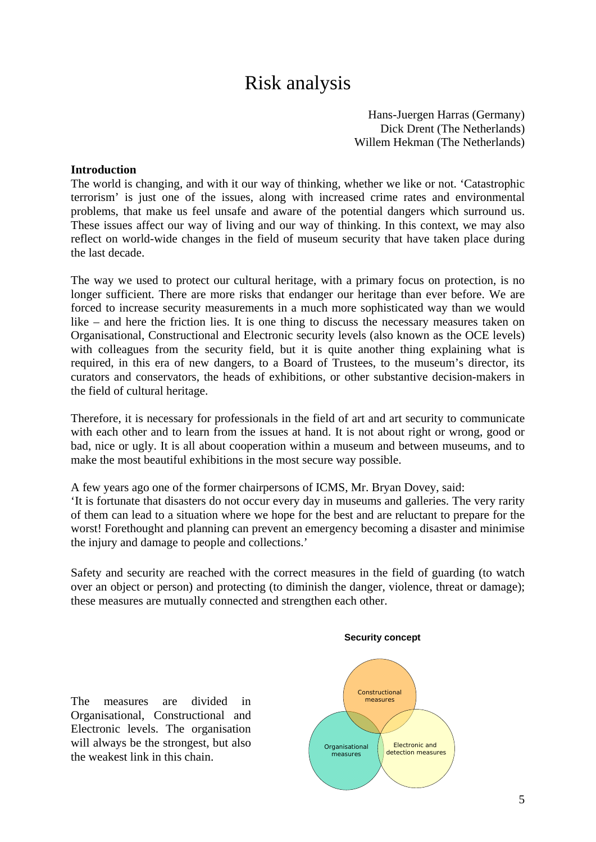# Risk analysis

Hans-Juergen Harras (Germany) Dick Drent (The Netherlands) Willem Hekman (The Netherlands)

### **Introduction**

The world is changing, and with it our way of thinking, whether we like or not. 'Catastrophic terrorism' is just one of the issues, along with increased crime rates and environmental problems, that make us feel unsafe and aware of the potential dangers which surround us. These issues affect our way of living and our way of thinking. In this context, we may also reflect on world-wide changes in the field of museum security that have taken place during the last decade.

The way we used to protect our cultural heritage, with a primary focus on protection, is no longer sufficient. There are more risks that endanger our heritage than ever before. We are forced to increase security measurements in a much more sophisticated way than we would like – and here the friction lies. It is one thing to discuss the necessary measures taken on Organisational, Constructional and Electronic security levels (also known as the OCE levels) with colleagues from the security field, but it is quite another thing explaining what is required, in this era of new dangers, to a Board of Trustees, to the museum's director, its curators and conservators, the heads of exhibitions, or other substantive decision-makers in the field of cultural heritage.

Therefore, it is necessary for professionals in the field of art and art security to communicate with each other and to learn from the issues at hand. It is not about right or wrong, good or bad, nice or ugly. It is all about cooperation within a museum and between museums, and to make the most beautiful exhibitions in the most secure way possible.

A few years ago one of the former chairpersons of ICMS, Mr. Bryan Dovey, said:

'It is fortunate that disasters do not occur every day in museums and galleries. The very rarity of them can lead to a situation where we hope for the best and are reluctant to prepare for the worst! Forethought and planning can prevent an emergency becoming a disaster and minimise the injury and damage to people and collections.'

Safety and security are reached with the correct measures in the field of guarding (to watch over an object or person) and protecting (to diminish the danger, violence, threat or damage); these measures are mutually connected and strengthen each other.

The measures are divided in Organisational, Constructional and Electronic levels. The organisation will always be the strongest, but also the weakest link in this chain.



**Security concept**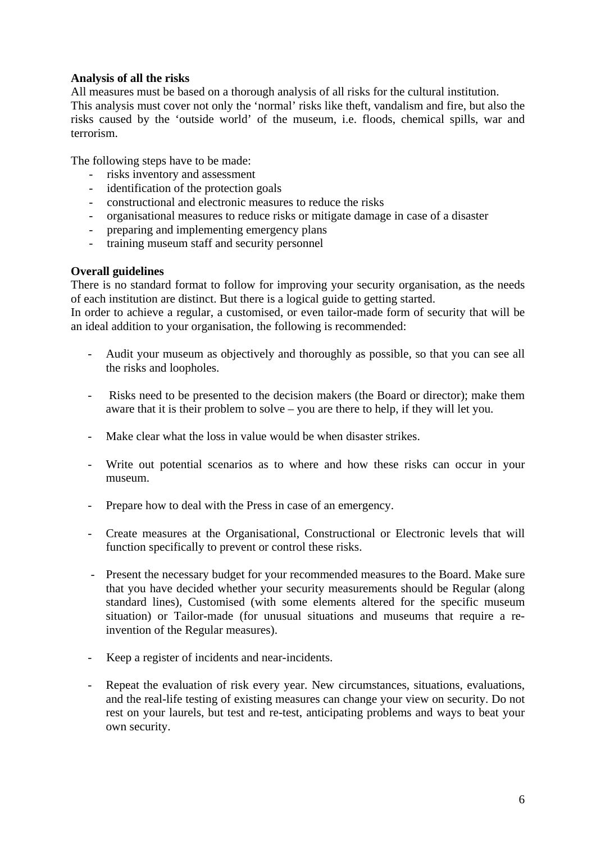### **Analysis of all the risks**

All measures must be based on a thorough analysis of all risks for the cultural institution. This analysis must cover not only the 'normal' risks like theft, vandalism and fire, but also the risks caused by the 'outside world' of the museum, i.e. floods, chemical spills, war and terrorism.

The following steps have to be made:

- risks inventory and assessment
- identification of the protection goals
- constructional and electronic measures to reduce the risks
- organisational measures to reduce risks or mitigate damage in case of a disaster
- preparing and implementing emergency plans
- training museum staff and security personnel

### **Overall guidelines**

There is no standard format to follow for improving your security organisation, as the needs of each institution are distinct. But there is a logical guide to getting started.

In order to achieve a regular, a customised, or even tailor-made form of security that will be an ideal addition to your organisation, the following is recommended:

- Audit your museum as objectively and thoroughly as possible, so that you can see all the risks and loopholes.
- Risks need to be presented to the decision makers (the Board or director); make them aware that it is their problem to solve – you are there to help, if they will let you.
- Make clear what the loss in value would be when disaster strikes.
- Write out potential scenarios as to where and how these risks can occur in your museum.
- Prepare how to deal with the Press in case of an emergency.
- Create measures at the Organisational, Constructional or Electronic levels that will function specifically to prevent or control these risks.
- Present the necessary budget for your recommended measures to the Board. Make sure that you have decided whether your security measurements should be Regular (along standard lines), Customised (with some elements altered for the specific museum situation) or Tailor-made (for unusual situations and museums that require a reinvention of the Regular measures).
- Keep a register of incidents and near-incidents.
- Repeat the evaluation of risk every year. New circumstances, situations, evaluations, and the real-life testing of existing measures can change your view on security. Do not rest on your laurels, but test and re-test, anticipating problems and ways to beat your own security.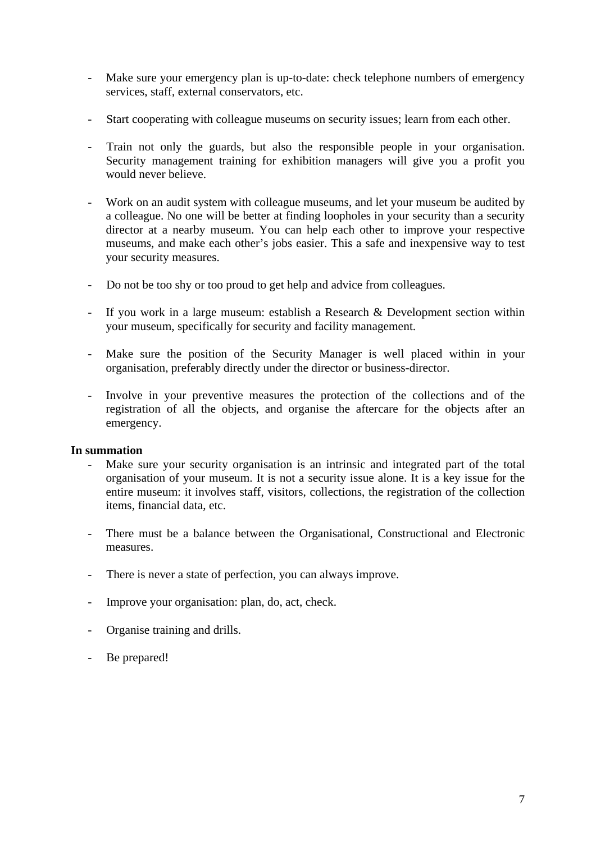- Make sure your emergency plan is up-to-date: check telephone numbers of emergency services, staff, external conservators, etc.
- Start cooperating with colleague museums on security issues; learn from each other.
- Train not only the guards, but also the responsible people in your organisation. Security management training for exhibition managers will give you a profit you would never believe.
- Work on an audit system with colleague museums, and let your museum be audited by a colleague. No one will be better at finding loopholes in your security than a security director at a nearby museum. You can help each other to improve your respective museums, and make each other's jobs easier. This a safe and inexpensive way to test your security measures.
- Do not be too shy or too proud to get help and advice from colleagues.
- If you work in a large museum: establish a Research & Development section within your museum, specifically for security and facility management.
- Make sure the position of the Security Manager is well placed within in your organisation, preferably directly under the director or business-director.
- Involve in your preventive measures the protection of the collections and of the registration of all the objects, and organise the aftercare for the objects after an emergency.

### **In summation**

- Make sure your security organisation is an intrinsic and integrated part of the total organisation of your museum. It is not a security issue alone. It is a key issue for the entire museum: it involves staff, visitors, collections, the registration of the collection items, financial data, etc.
- There must be a balance between the Organisational, Constructional and Electronic measures.
- There is never a state of perfection, you can always improve.
- Improve your organisation: plan, do, act, check.
- Organise training and drills.
- Be prepared!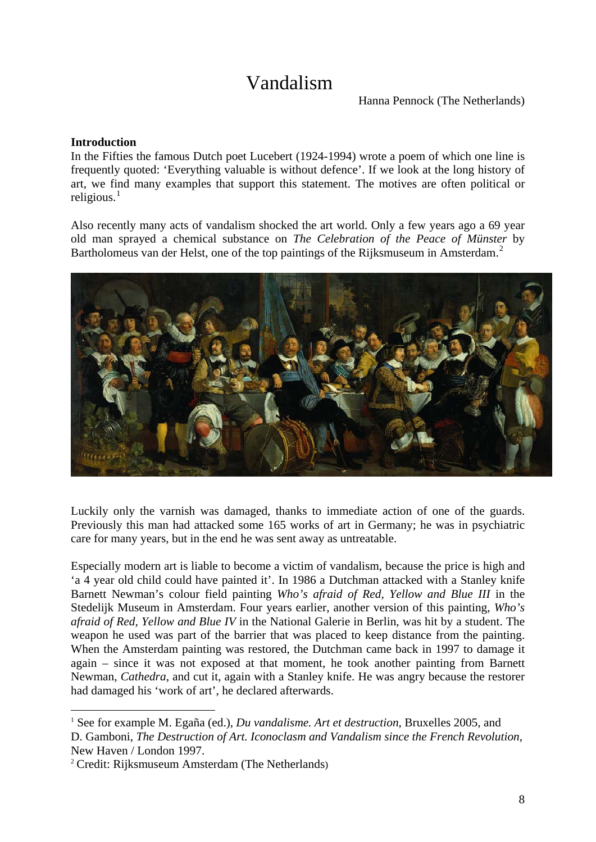# Vandalism

Hanna Pennock (The Netherlands)

### **Introduction**

In the Fifties the famous Dutch poet Lucebert (1924-1994) wrote a poem of which one line is frequently quoted: 'Everything valuable is without defence'. If we look at the long history of art, we find many examples that support this statement. The motives are often political or religious. $<sup>1</sup>$  $<sup>1</sup>$  $<sup>1</sup>$ </sup>

Also recently many acts of vandalism shocked the art world. Only a few years ago a 69 year old man sprayed a chemical substance on *The Celebration of the Peace of Münster* by Bartholomeus van der Helst, one of the top paintings of the Rijksmuseum in Amsterdam.<sup>[2](#page-7-1)</sup>



Luckily only the varnish was damaged, thanks to immediate action of one of the guards. Previously this man had attacked some 165 works of art in Germany; he was in psychiatric care for many years, but in the end he was sent away as untreatable.

Especially modern art is liable to become a victim of vandalism, because the price is high and 'a 4 year old child could have painted it'. In 1986 a Dutchman attacked with a Stanley knife Barnett Newman's colour field painting *Who's afraid of Red, Yellow and Blue III* in the Stedelijk Museum in Amsterdam. Four years earlier, another version of this painting, *Who's afraid of Red, Yellow and Blue IV* in the National Galerie in Berlin, was hit by a student. The weapon he used was part of the barrier that was placed to keep distance from the painting. When the Amsterdam painting was restored, the Dutchman came back in 1997 to damage it again – since it was not exposed at that moment, he took another painting from Barnett Newman, *Cathedra*, and cut it, again with a Stanley knife. He was angry because the restorer had damaged his 'work of art', he declared afterwards.

1

<span id="page-7-0"></span><sup>&</sup>lt;sup>1</sup> See for example M. Egaña (ed.), *Du vandalisme. Art et destruction*, Bruxelles 2005, and D. Gamboni, *The Destruction of Art. Iconoclasm and Vandalism since the French Revolution*, New Haven / London 1997.

<span id="page-7-1"></span><sup>2</sup> Credit: Rijksmuseum Amsterdam (The Netherlands)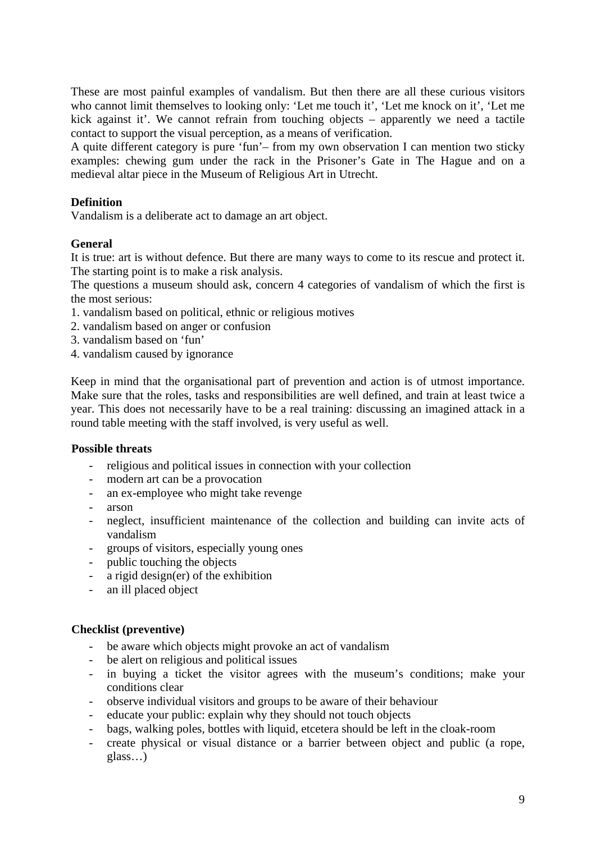These are most painful examples of vandalism. But then there are all these curious visitors who cannot limit themselves to looking only: 'Let me touch it', 'Let me knock on it', 'Let me kick against it'. We cannot refrain from touching objects – apparently we need a tactile contact to support the visual perception, as a means of verification.

A quite different category is pure 'fun'– from my own observation I can mention two sticky examples: chewing gum under the rack in the Prisoner's Gate in The Hague and on a medieval altar piece in the Museum of Religious Art in Utrecht.

### **Definition**

Vandalism is a deliberate act to damage an art object.

### **General**

It is true: art is without defence. But there are many ways to come to its rescue and protect it. The starting point is to make a risk analysis.

The questions a museum should ask, concern 4 categories of vandalism of which the first is the most serious:

- 1. vandalism based on political, ethnic or religious motives
- 2. vandalism based on anger or confusion
- 3. vandalism based on 'fun'
- 4. vandalism caused by ignorance

Keep in mind that the organisational part of prevention and action is of utmost importance. Make sure that the roles, tasks and responsibilities are well defined, and train at least twice a year. This does not necessarily have to be a real training: discussing an imagined attack in a round table meeting with the staff involved, is very useful as well.

### **Possible threats**

- religious and political issues in connection with your collection
- modern art can be a provocation
- an ex-employee who might take revenge
- arson
- neglect, insufficient maintenance of the collection and building can invite acts of vandalism
- groups of visitors, especially young ones
- public touching the objects
- a rigid design(er) of the exhibition
- an ill placed object

### **Checklist (preventive)**

- be aware which objects might provoke an act of vandalism
- be alert on religious and political issues
- in buying a ticket the visitor agrees with the museum's conditions; make your conditions clear
- observe individual visitors and groups to be aware of their behaviour
- educate your public: explain why they should not touch objects
- bags, walking poles, bottles with liquid, etcetera should be left in the cloak-room
- create physical or visual distance or a barrier between object and public (a rope, glass…)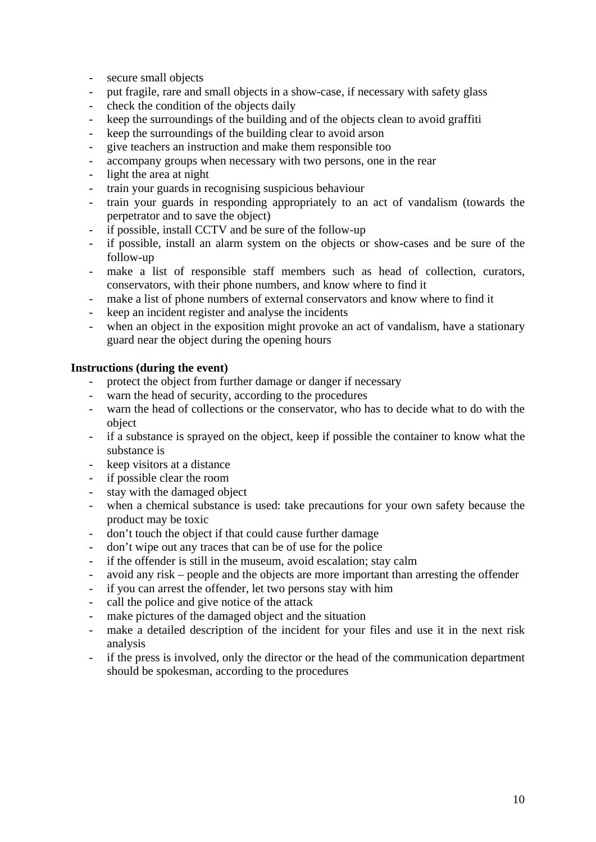- secure small objects
- put fragile, rare and small objects in a show-case, if necessary with safety glass
- check the condition of the objects daily
- keep the surroundings of the building and of the objects clean to avoid graffiti
- keep the surroundings of the building clear to avoid arson
- give teachers an instruction and make them responsible too
- accompany groups when necessary with two persons, one in the rear
- light the area at night
- train your guards in recognising suspicious behaviour
- train your guards in responding appropriately to an act of vandalism (towards the perpetrator and to save the object)
- if possible, install CCTV and be sure of the follow-up
- if possible, install an alarm system on the objects or show-cases and be sure of the follow-up
- make a list of responsible staff members such as head of collection, curators, conservators, with their phone numbers, and know where to find it
- make a list of phone numbers of external conservators and know where to find it
- keep an incident register and analyse the incidents
- when an object in the exposition might provoke an act of vandalism, have a stationary guard near the object during the opening hours

### **Instructions (during the event)**

- protect the object from further damage or danger if necessary
- warn the head of security, according to the procedures
- warn the head of collections or the conservator, who has to decide what to do with the object
- if a substance is sprayed on the object, keep if possible the container to know what the substance is
- keep visitors at a distance
- if possible clear the room
- stay with the damaged object
- when a chemical substance is used: take precautions for your own safety because the product may be toxic
- don't touch the object if that could cause further damage
- don't wipe out any traces that can be of use for the police
- if the offender is still in the museum, avoid escalation; stay calm
- avoid any risk people and the objects are more important than arresting the offender
- if you can arrest the offender, let two persons stay with him
- call the police and give notice of the attack
- make pictures of the damaged object and the situation
- make a detailed description of the incident for your files and use it in the next risk analysis
- if the press is involved, only the director or the head of the communication department should be spokesman, according to the procedures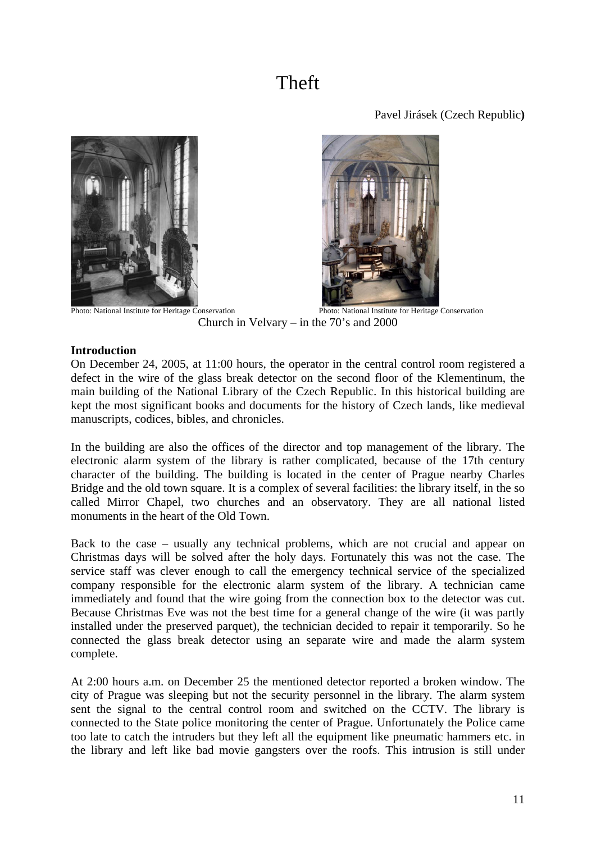# Theft

Pavel Jirásek (Czech Republic**)**





**Photo: National Institute for Heritage Conservation** Photo: National Institute for Heritage Conservation Church in Velvary – in the 70's and 2000

### **Introduction**

On December 24, 2005, at 11:00 hours, the operator in the central control room registered a defect in the wire of the glass break detector on the second floor of the Klementinum, the main building of the National Library of the Czech Republic. In this historical building are kept the most significant books and documents for the history of Czech lands, like medieval manuscripts, codices, bibles, and chronicles.

In the building are also the offices of the director and top management of the library. The electronic alarm system of the library is rather complicated, because of the 17th century character of the building. The building is located in the center of Prague nearby Charles Bridge and the old town square. It is a complex of several facilities: the library itself, in the so called Mirror Chapel, two churches and an observatory. They are all national listed monuments in the heart of the Old Town.

Back to the case – usually any technical problems, which are not crucial and appear on Christmas days will be solved after the holy days. Fortunately this was not the case. The service staff was clever enough to call the emergency technical service of the specialized company responsible for the electronic alarm system of the library. A technician came immediately and found that the wire going from the connection box to the detector was cut. Because Christmas Eve was not the best time for a general change of the wire (it was partly installed under the preserved parquet), the technician decided to repair it temporarily. So he connected the glass break detector using an separate wire and made the alarm system complete.

At 2:00 hours a.m. on December 25 the mentioned detector reported a broken window. The city of Prague was sleeping but not the security personnel in the library. The alarm system sent the signal to the central control room and switched on the CCTV. The library is connected to the State police monitoring the center of Prague. Unfortunately the Police came too late to catch the intruders but they left all the equipment like pneumatic hammers etc. in the library and left like bad movie gangsters over the roofs. This intrusion is still under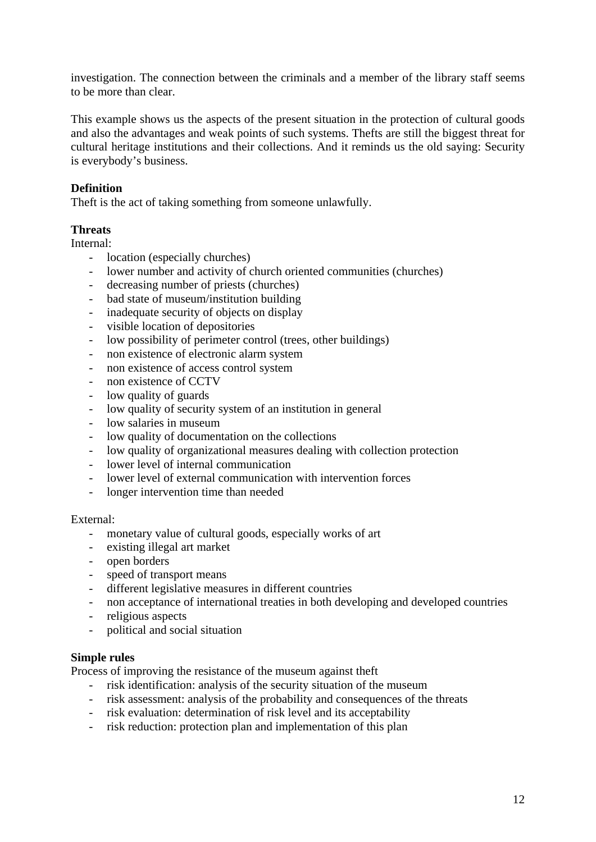investigation. The connection between the criminals and a member of the library staff seems to be more than clear.

This example shows us the aspects of the present situation in the protection of cultural goods and also the advantages and weak points of such systems. Thefts are still the biggest threat for cultural heritage institutions and their collections. And it reminds us the old saying: Security is everybody's business.

### **Definition**

Theft is the act of taking something from someone unlawfully.

### **Threats**

Internal:

- location (especially churches)
- lower number and activity of church oriented communities (churches)
- decreasing number of priests (churches)
- bad state of museum/institution building
- inadequate security of objects on display
- visible location of depositories
- low possibility of perimeter control (trees, other buildings)
- non existence of electronic alarm system
- non existence of access control system
- non existence of CCTV
- low quality of guards
- low quality of security system of an institution in general
- low salaries in museum
- low quality of documentation on the collections
- low quality of organizational measures dealing with collection protection
- lower level of internal communication
- lower level of external communication with intervention forces
- longer intervention time than needed

### External:

- monetary value of cultural goods, especially works of art
- existing illegal art market
- open borders
- speed of transport means
- different legislative measures in different countries
- non acceptance of international treaties in both developing and developed countries
- religious aspects
- political and social situation

### **Simple rules**

Process of improving the resistance of the museum against theft

- risk identification: analysis of the security situation of the museum
- risk assessment: analysis of the probability and consequences of the threats
- risk evaluation: determination of risk level and its acceptability
- risk reduction: protection plan and implementation of this plan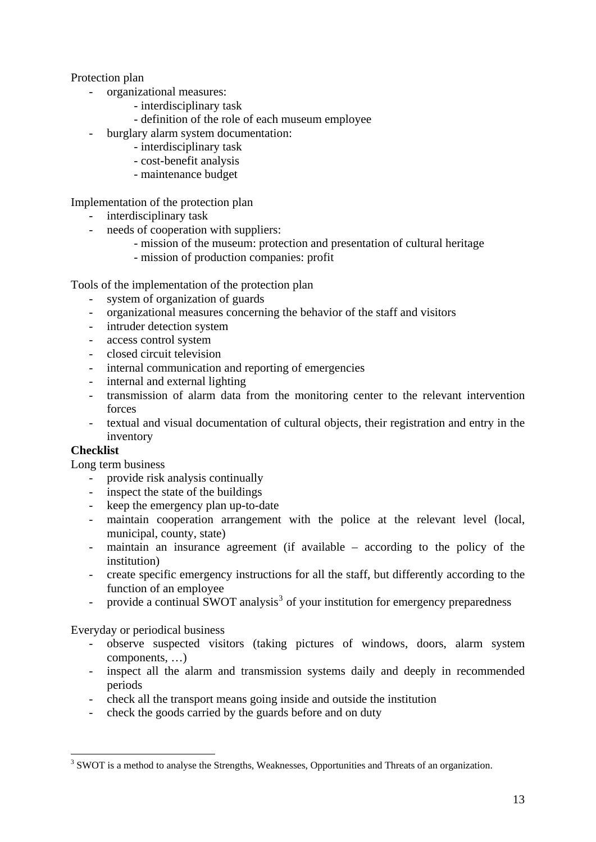### Protection plan

- organizational measures:
	- interdisciplinary task
	- definition of the role of each museum employee
- burglary alarm system documentation:
	- interdisciplinary task
	- cost-benefit analysis
	- maintenance budget

Implementation of the protection plan

- interdisciplinary task
- needs of cooperation with suppliers:
	- mission of the museum: protection and presentation of cultural heritage
	- mission of production companies: profit

Tools of the implementation of the protection plan

- system of organization of guards
- organizational measures concerning the behavior of the staff and visitors
- intruder detection system
- access control system
- closed circuit television
- internal communication and reporting of emergencies
- internal and external lighting
- transmission of alarm data from the monitoring center to the relevant intervention forces
- textual and visual documentation of cultural objects, their registration and entry in the inventory

### **Checklist**

1

Long term business

- provide risk analysis continually
- inspect the state of the buildings
- keep the emergency plan up-to-date
- maintain cooperation arrangement with the police at the relevant level (local, municipal, county, state)
- maintain an insurance agreement (if available according to the policy of the institution)
- create specific emergency instructions for all the staff, but differently according to the function of an employee
- provide a continual SWOT analysis<sup>[3](#page-12-0)</sup> of your institution for emergency preparedness

Everyday or periodical business

- observe suspected visitors (taking pictures of windows, doors, alarm system components, …)
- inspect all the alarm and transmission systems daily and deeply in recommended periods
- check all the transport means going inside and outside the institution
- check the goods carried by the guards before and on duty

<span id="page-12-0"></span><sup>&</sup>lt;sup>3</sup> SWOT is a method to analyse the Strengths, Weaknesses, Opportunities and Threats of an organization.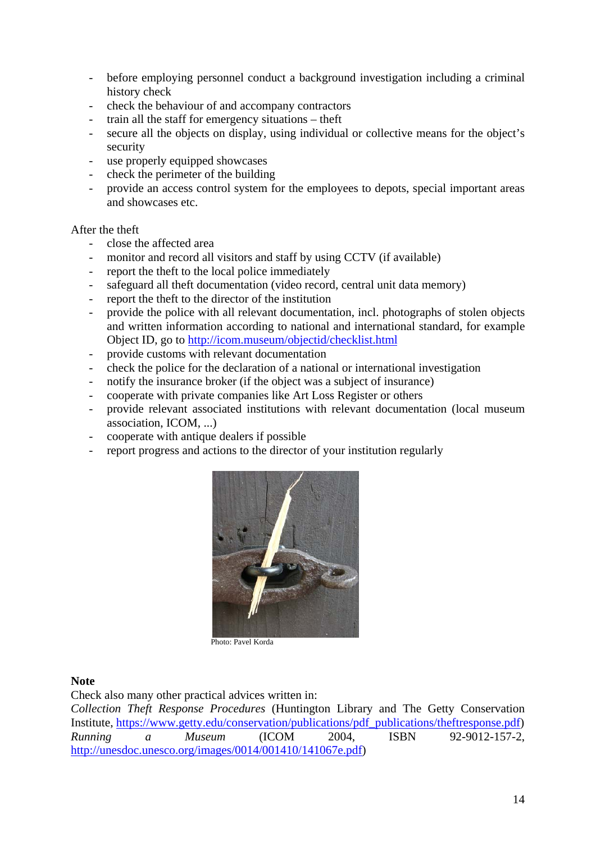- before employing personnel conduct a background investigation including a criminal history check
- check the behaviour of and accompany contractors
- train all the staff for emergency situations theft
- secure all the objects on display, using individual or collective means for the object's security
- use properly equipped showcases
- check the perimeter of the building
- provide an access control system for the employees to depots, special important areas and showcases etc.

### After the theft

- close the affected area
- monitor and record all visitors and staff by using CCTV (if available)
- report the theft to the local police immediately
- safeguard all theft documentation (video record, central unit data memory)
- report the theft to the director of the institution
- provide the police with all relevant documentation, incl. photographs of stolen objects and written information according to national and international standard, for example Object ID, go to <http://icom.museum/objectid/checklist.html>
- provide customs with relevant documentation
- check the police for the declaration of a national or international investigation
- notify the insurance broker (if the object was a subject of insurance)
- cooperate with private companies like Art Loss Register or others
- provide relevant associated institutions with relevant documentation (local museum association, ICOM, ...)
- cooperate with antique dealers if possible
- report progress and actions to the director of your institution regularly



Photo: Pavel Korda

#### **Note**

Check also many other practical advices written in:

*Collection Theft Response Procedures* (Huntington Library and The Getty Conservation Institute, [https://www.getty.edu/conservation/publications/pdf\\_publications/theftresponse.pdf\)](https://www.getty.edu/conservation/publications/pdf_publications/theftresponse.pdf) *Running a Museum* (ICOM 2004, ISBN 92-9012-157-2, [http://unesdoc.unesco.org/images/0014/001410/141067e.pdf\)](http://unesdoc.unesco.org/images/0014/001410/141067e.pdf)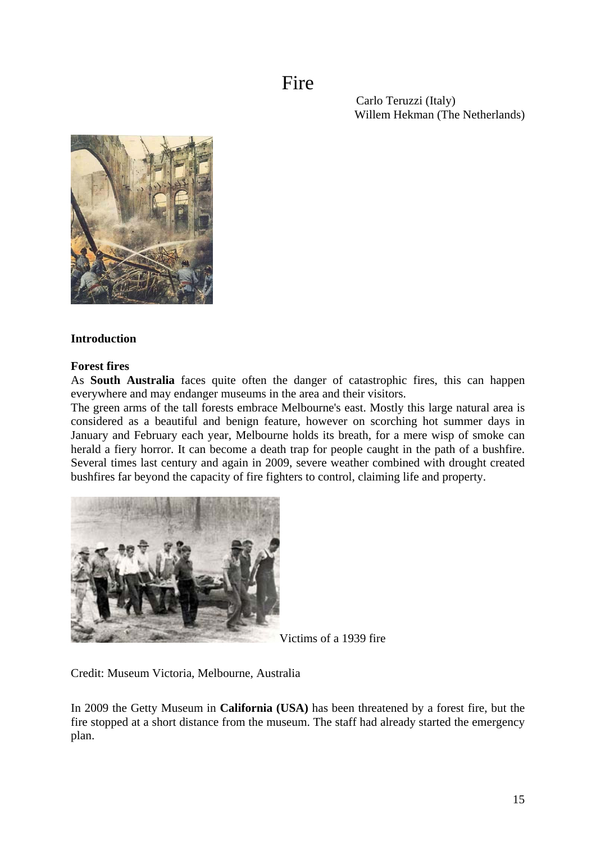Fire

 Carlo Teruzzi (Italy) Willem Hekman (The Netherlands)



### **Introduction**

### **Forest fires**

As **South Australia** faces quite often the danger of catastrophic fires, this can happen everywhere and may endanger museums in the area and their visitors.

The green arms of the tall forests embrace Melbourne's east. Mostly this large natural area is considered as a beautiful and benign feature, however on scorching hot summer days in January and February each year, Melbourne holds its breath, for a mere wisp of smoke can herald a fiery horror. It can become a death trap for people caught in the path of a bushfire. Several times last century and again in 2009, severe weather combined with drought created bushfires far beyond the capacity of fire fighters to control, claiming life and property.



Victims of a 1939 fire

Credit: Museum Victoria, Melbourne, Australia

In 2009 the Getty Museum in **California (USA)** has been threatened by a forest fire, but the fire stopped at a short distance from the museum. The staff had already started the emergency plan.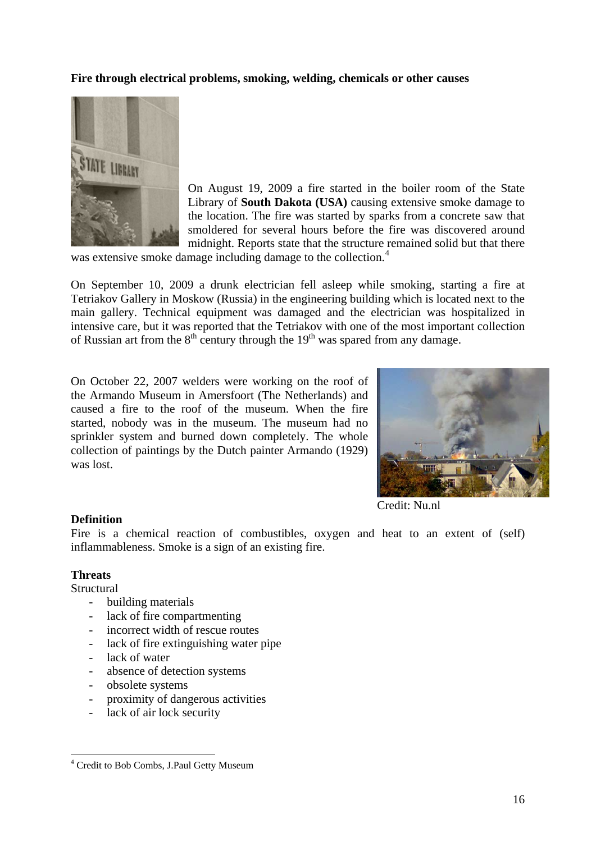### **Fire through electrical problems, smoking, welding, chemicals or other causes**



On August 19, 2009 a fire started in the boiler room of the State Library of **South Dakota (USA)** causing extensive smoke damage to the location. The fire was started by sparks from a concrete saw that smoldered for several hours before the fire was discovered around midnight. Reports state that the structure remained solid but that there

was extensive smoke damage including damage to the collection.<sup>[4](#page-15-0)</sup>

On September 10, 2009 a drunk electrician fell asleep while smoking, starting a fire at Tetriakov Gallery in Moskow (Russia) in the engineering building which is located next to the main gallery. Technical equipment was damaged and the electrician was hospitalized in intensive care, but it was reported that the Tetriakov with one of the most important collection of Russian art from the  $8<sup>th</sup>$  century through the  $19<sup>th</sup>$  was spared from any damage.

On October 22, 2007 welders were working on the roof of the Armando Museum in Amersfoort (The Netherlands) and caused a fire to the roof of the museum. When the fire started, nobody was in the museum. The museum had no sprinkler system and burned down completely. The whole collection of paintings by the Dutch painter Armando (1929) was lost.



[Credit: Nu.nl](http://images.fok.nl/upload/071022_148494_2.jpg) 

#### **Definition**

Fire is a chemical reaction of combustibles, oxygen and heat to an extent of (self) inflammableness. Smoke is a sign of an existing fire.

### **Threats**

**Structural** 

1

- building materials
- lack of fire compartmenting
- incorrect width of rescue routes
- lack of fire extinguishing water pipe
- lack of water
- absence of detection systems
- obsolete systems
- proximity of dangerous activities
- lack of air lock security

<span id="page-15-0"></span><sup>&</sup>lt;sup>4</sup> Credit to Bob Combs, J.Paul Getty Museum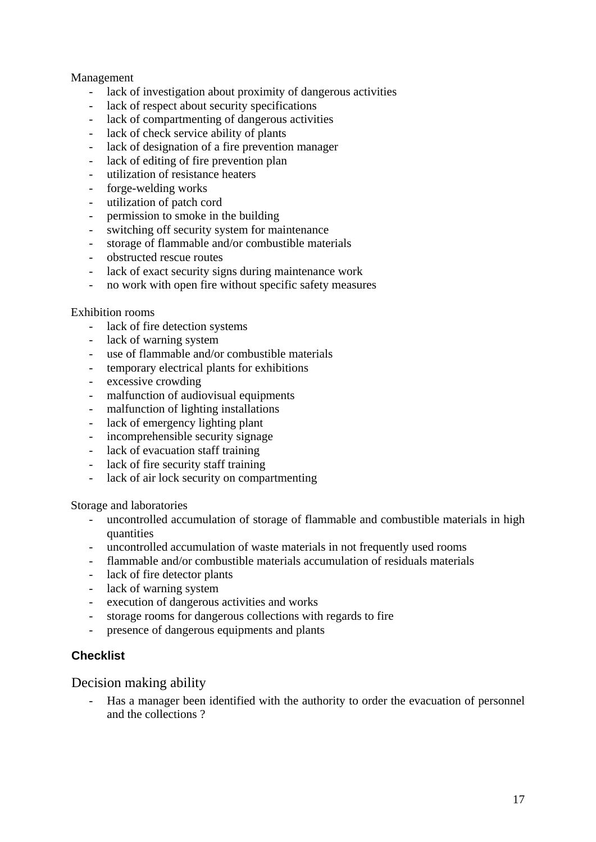### Management

- lack of investigation about proximity of dangerous activities
- lack of respect about security specifications
- lack of compartmenting of dangerous activities
- lack of check service ability of plants
- lack of designation of a fire prevention manager
- lack of editing of fire prevention plan
- utilization of resistance heaters
- forge-welding works
- utilization of patch cord
- permission to smoke in the building
- switching off security system for maintenance
- storage of flammable and/or combustible materials
- obstructed rescue routes
- lack of exact security signs during maintenance work
- no work with open fire without specific safety measures

### Exhibition rooms

- lack of fire detection systems
- lack of warning system
- use of flammable and/or combustible materials
- temporary electrical plants for exhibitions
- excessive crowding
- malfunction of audiovisual equipments
- malfunction of lighting installations
- lack of emergency lighting plant
- incomprehensible security signage
- lack of evacuation staff training
- lack of fire security staff training
- lack of air lock security on compartmenting

Storage and laboratories

- uncontrolled accumulation of storage of flammable and combustible materials in high quantities
- uncontrolled accumulation of waste materials in not frequently used rooms
- flammable and/or combustible materials accumulation of residuals materials
- lack of fire detector plants
- lack of warning system
- execution of dangerous activities and works
- storage rooms for dangerous collections with regards to fire
- presence of dangerous equipments and plants

### **Checklist**

Decision making ability

- Has a manager been identified with the authority to order the evacuation of personnel and the collections ?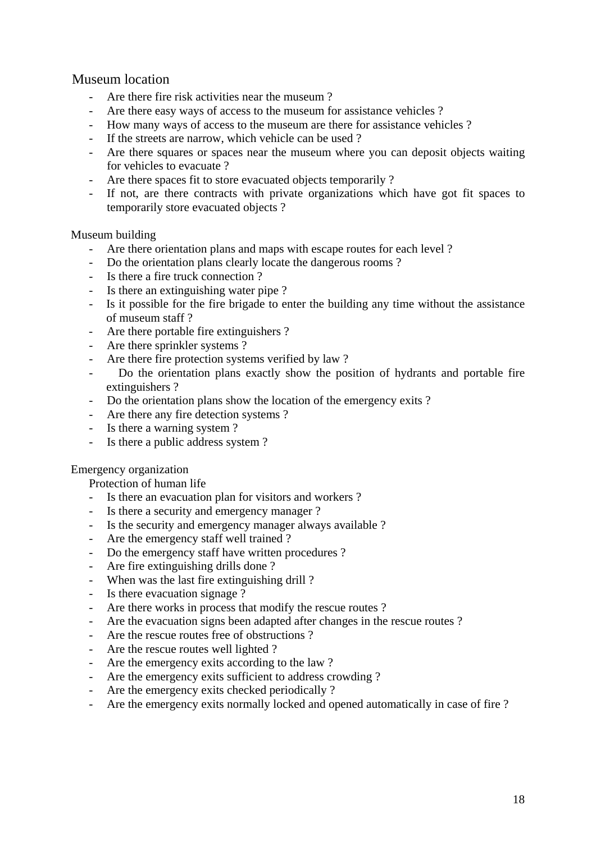## Museum location

- Are there fire risk activities near the museum ?
- Are there easy ways of access to the museum for assistance vehicles ?
- How many ways of access to the museum are there for assistance vehicles ?
- If the streets are narrow, which vehicle can be used ?
- Are there squares or spaces near the museum where you can deposit objects waiting for vehicles to evacuate ?
- Are there spaces fit to store evacuated objects temporarily ?
- If not, are there contracts with private organizations which have got fit spaces to temporarily store evacuated objects ?

### Museum building

- Are there orientation plans and maps with escape routes for each level ?
- Do the orientation plans clearly locate the dangerous rooms ?
- Is there a fire truck connection ?
- Is there an extinguishing water pipe ?
- Is it possible for the fire brigade to enter the building any time without the assistance of museum staff ?
- Are there portable fire extinguishers ?
- Are there sprinkler systems ?
- Are there fire protection systems verified by law ?
- Do the orientation plans exactly show the position of hydrants and portable fire extinguishers ?
- Do the orientation plans show the location of the emergency exits ?
- Are there any fire detection systems ?
- Is there a warning system ?
- Is there a public address system ?

### Emergency organization

Protection of human life

- Is there an evacuation plan for visitors and workers ?
- Is there a security and emergency manager ?
- Is the security and emergency manager always available ?
- Are the emergency staff well trained ?
- Do the emergency staff have written procedures ?
- Are fire extinguishing drills done ?
- When was the last fire extinguishing drill ?
- Is there evacuation signage ?
- Are there works in process that modify the rescue routes ?
- Are the evacuation signs been adapted after changes in the rescue routes ?
- Are the rescue routes free of obstructions ?
- Are the rescue routes well lighted ?
- Are the emergency exits according to the law ?
- Are the emergency exits sufficient to address crowding ?
- Are the emergency exits checked periodically ?
- Are the emergency exits normally locked and opened automatically in case of fire ?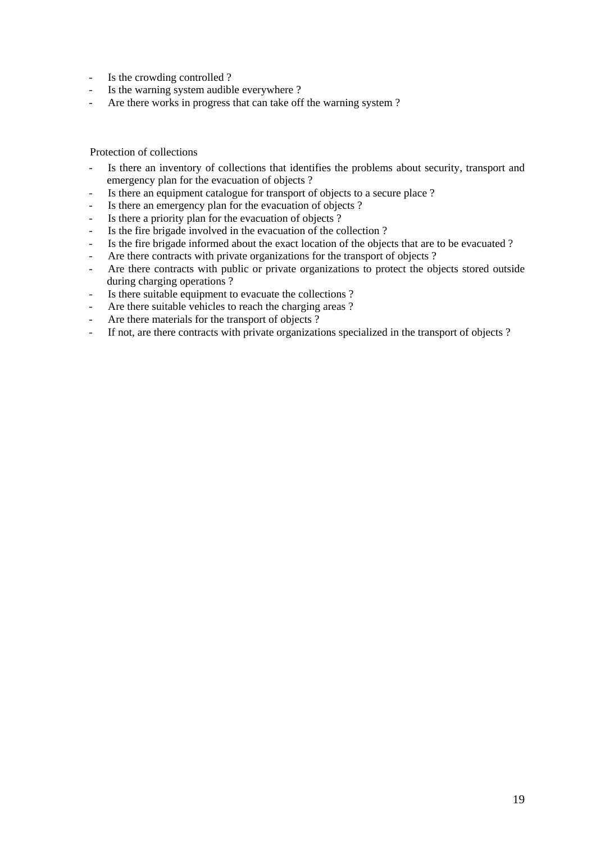- Is the crowding controlled ?
- Is the warning system audible everywhere ?
- Are there works in progress that can take off the warning system ?

Protection of collections

- Is there an inventory of collections that identifies the problems about security, transport and emergency plan for the evacuation of objects ?
- Is there an equipment catalogue for transport of objects to a secure place ?
- Is there an emergency plan for the evacuation of objects ?
- Is there a priority plan for the evacuation of objects ?
- Is the fire brigade involved in the evacuation of the collection ?
- Is the fire brigade informed about the exact location of the objects that are to be evacuated ?
- Are there contracts with private organizations for the transport of objects ?
- Are there contracts with public or private organizations to protect the objects stored outside during charging operations ?
- Is there suitable equipment to evacuate the collections ?
- Are there suitable vehicles to reach the charging areas ?
- Are there materials for the transport of objects ?
- If not, are there contracts with private organizations specialized in the transport of objects ?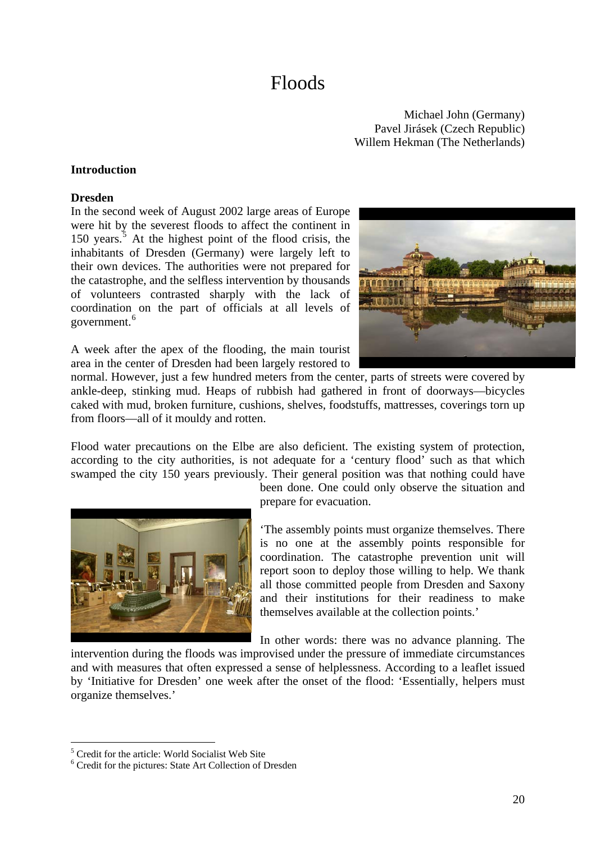# Floods

Michael John (Germany) Pavel Jirásek (Czech Republic) Willem Hekman (The Netherlands)

### **Introduction**

#### **Dresden**

In the second week of August 2002 large areas of Europe were hit by the severest floods to affect the continent in 1[5](#page-19-0)0 years.<sup>5</sup> At the highest point of the flood crisis, the inhabitants of Dresden (Germany) were largely left to their own devices. The authorities were not prepared for the catastrophe, and the selfless intervention by thousands of volunteers contrasted sharply with the lack of coordination on the part of officials at all levels of government.<sup>[6](#page-19-1)</sup>



A week after the apex of the flooding, the main tourist area in the center of Dresden had been largely restored to

normal. However, just a few hundred meters from the center, parts of streets were covered by ankle-deep, stinking mud. Heaps of rubbish had gathered in front of doorways—bicycles caked with mud, broken furniture, cushions, shelves, foodstuffs, mattresses, coverings torn up from floors—all of it mouldy and rotten.

Flood water precautions on the Elbe are also deficient. The existing system of protection, according to the city authorities, is not adequate for a 'century flood' such as that which swamped the city 150 years previously. Their general position was that nothing could have



been done. One could only observe the situation and prepare for evacuation.

'The assembly points must organize themselves. There is no one at the assembly points responsible for coordination. The catastrophe prevention unit will report soon to deploy those willing to help. We thank all those committed people from Dresden and Saxony and their institutions for their readiness to make themselves available at the collection points.'

In other words: there was no advance planning. The

intervention during the floods was improvised under the pressure of immediate circumstances and with measures that often expressed a sense of helplessness. According to a leaflet issued by 'Initiative for Dresden' one week after the onset of the flood: 'Essentially, helpers must organize themselves.'

1

<span id="page-19-0"></span><sup>5</sup> Credit for the article: World Socialist Web Site

<span id="page-19-1"></span><sup>6</sup> Credit for the pictures: State Art Collection of Dresden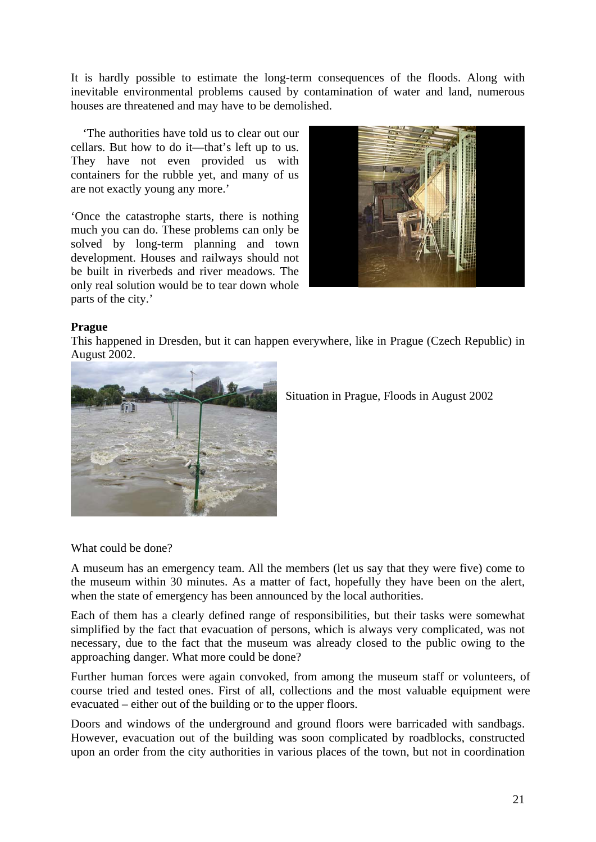It is hardly possible to estimate the long-term consequences of the floods. Along with inevitable environmental problems caused by contamination of water and land, numerous houses are threatened and may have to be demolished.

 'The authorities have told us to clear out our cellars. But how to do it—that's left up to us. They have not even provided us with containers for the rubble yet, and many of us are not exactly young any more.'

'Once the catastrophe starts, there is nothing much you can do. These problems can only be solved by long-term planning and town development. Houses and railways should not be built in riverbeds and river meadows. The only real solution would be to tear down whole parts of the city.'



### **Prague**

This happened in Dresden, but it can happen everywhere, like in Prague (Czech Republic) in August 2002.



Situation in Prague, Floods in August 2002

What could be done?

A museum has an emergency team. All the members (let us say that they were five) come to the museum within 30 minutes. As a matter of fact, hopefully they have been on the alert, when the state of emergency has been announced by the local authorities.

Each of them has a clearly defined range of responsibilities, but their tasks were somewhat simplified by the fact that evacuation of persons, which is always very complicated, was not necessary, due to the fact that the museum was already closed to the public owing to the approaching danger. What more could be done?

Further human forces were again convoked, from among the museum staff or volunteers, of course tried and tested ones. First of all, collections and the most valuable equipment were evacuated – either out of the building or to the upper floors.

Doors and windows of the underground and ground floors were barricaded with sandbags. However, evacuation out of the building was soon complicated by roadblocks, constructed upon an order from the city authorities in various places of the town, but not in coordination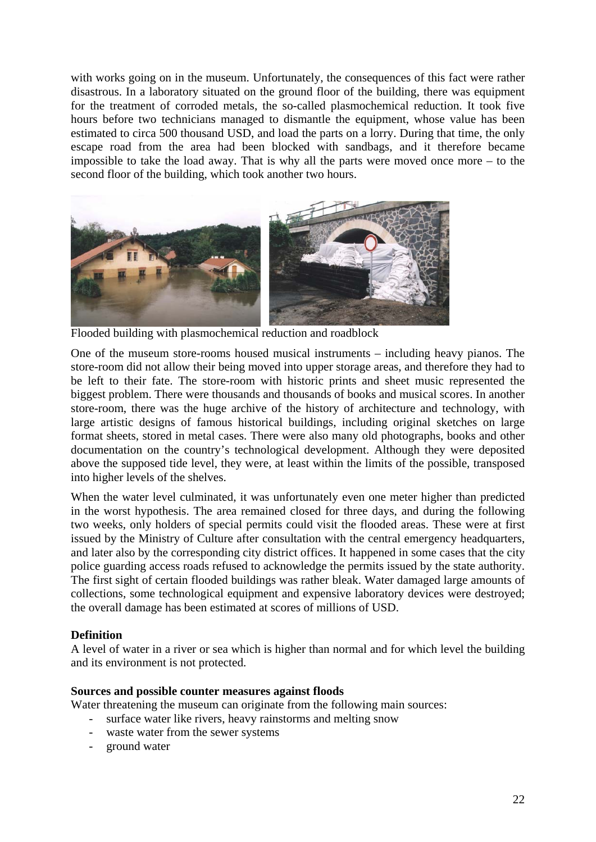with works going on in the museum. Unfortunately, the consequences of this fact were rather disastrous. In a laboratory situated on the ground floor of the building, there was equipment for the treatment of corroded metals, the so-called plasmochemical reduction. It took five hours before two technicians managed to dismantle the equipment, whose value has been estimated to circa 500 thousand USD, and load the parts on a lorry. During that time, the only escape road from the area had been blocked with sandbags, and it therefore became impossible to take the load away. That is why all the parts were moved once more – to the second floor of the building, which took another two hours.



Flooded building with plasmochemical reduction and roadblock

One of the museum store-rooms housed musical instruments – including heavy pianos. The store-room did not allow their being moved into upper storage areas, and therefore they had to be left to their fate. The store-room with historic prints and sheet music represented the biggest problem. There were thousands and thousands of books and musical scores. In another store-room, there was the huge archive of the history of architecture and technology, with large artistic designs of famous historical buildings, including original sketches on large format sheets, stored in metal cases. There were also many old photographs, books and other documentation on the country's technological development. Although they were deposited above the supposed tide level, they were, at least within the limits of the possible, transposed into higher levels of the shelves.

When the water level culminated, it was unfortunately even one meter higher than predicted in the worst hypothesis. The area remained closed for three days, and during the following two weeks, only holders of special permits could visit the flooded areas. These were at first issued by the Ministry of Culture after consultation with the central emergency headquarters, and later also by the corresponding city district offices. It happened in some cases that the city police guarding access roads refused to acknowledge the permits issued by the state authority. The first sight of certain flooded buildings was rather bleak. Water damaged large amounts of collections, some technological equipment and expensive laboratory devices were destroyed; the overall damage has been estimated at scores of millions of USD.

### **Definition**

A level of water in a river or sea which is higher than normal and for which level the building and its environment is not protected.

### **Sources and possible counter measures against floods**

Water threatening the museum can originate from the following main sources:

- surface water like rivers, heavy rainstorms and melting snow
- waste water from the sewer systems
- ground water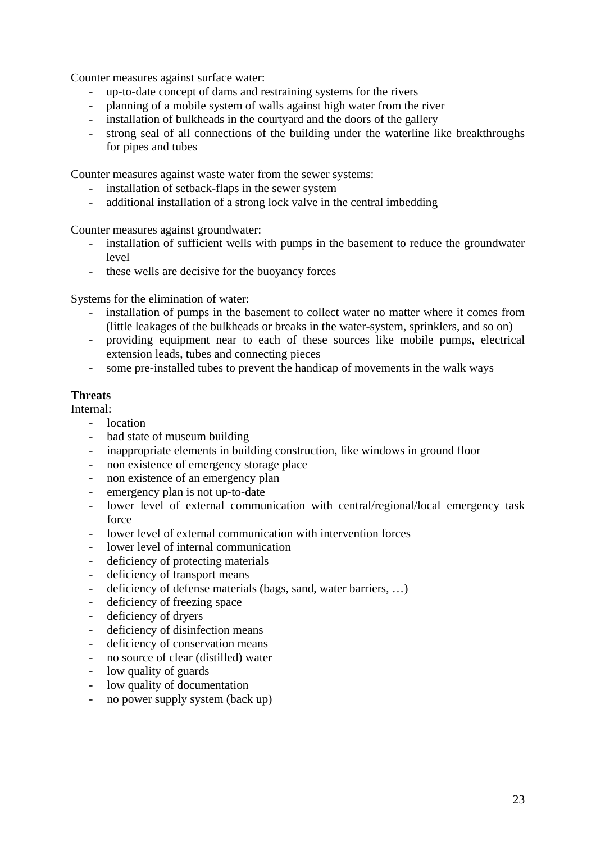Counter measures against surface water:

- up-to-date concept of dams and restraining systems for the rivers
- planning of a mobile system of walls against high water from the river
- installation of bulkheads in the courtyard and the doors of the gallery
- strong seal of all connections of the building under the waterline like breakthroughs for pipes and tubes

Counter measures against waste water from the sewer systems:

- installation of setback-flaps in the sewer system
- additional installation of a strong lock valve in the central imbedding

Counter measures against groundwater:

- installation of sufficient wells with pumps in the basement to reduce the groundwater level
- these wells are decisive for the buoyancy forces

Systems for the elimination of water:

- installation of pumps in the basement to collect water no matter where it comes from (little leakages of the bulkheads or breaks in the water-system, sprinklers, and so on)
- providing equipment near to each of these sources like mobile pumps, electrical extension leads, tubes and connecting pieces
- some pre-installed tubes to prevent the handicap of movements in the walk ways

### **Threats**

Internal:

- location
- bad state of museum building
- inappropriate elements in building construction, like windows in ground floor
- non existence of emergency storage place
- non existence of an emergency plan
- emergency plan is not up-to-date
- lower level of external communication with central/regional/local emergency task force
- lower level of external communication with intervention forces
- lower level of internal communication
- deficiency of protecting materials
- deficiency of transport means
- deficiency of defense materials (bags, sand, water barriers, …)
- deficiency of freezing space
- deficiency of dryers
- deficiency of disinfection means
- deficiency of conservation means
- no source of clear (distilled) water
- low quality of guards
- low quality of documentation
- no power supply system (back up)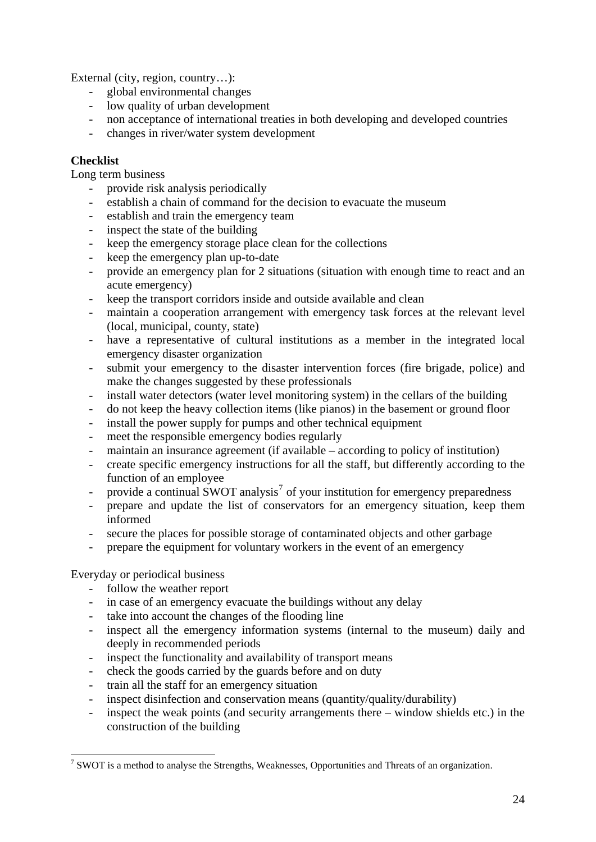External (city, region, country...):

- global environmental changes
- low quality of urban development
- non acceptance of international treaties in both developing and developed countries
- changes in river/water system development

### **Checklist**

Long term business

- provide risk analysis periodically
- establish a chain of command for the decision to evacuate the museum
- establish and train the emergency team
- inspect the state of the building
- keep the emergency storage place clean for the collections
- keep the emergency plan up-to-date
- provide an emergency plan for 2 situations (situation with enough time to react and an acute emergency)
- keep the transport corridors inside and outside available and clean
- maintain a cooperation arrangement with emergency task forces at the relevant level (local, municipal, county, state)
- have a representative of cultural institutions as a member in the integrated local emergency disaster organization
- submit your emergency to the disaster intervention forces (fire brigade, police) and make the changes suggested by these professionals
- install water detectors (water level monitoring system) in the cellars of the building
- do not keep the heavy collection items (like pianos) in the basement or ground floor
- install the power supply for pumps and other technical equipment
- meet the responsible emergency bodies regularly
- maintain an insurance agreement (if available according to policy of institution)
- create specific emergency instructions for all the staff, but differently according to the function of an employee
- provide a continual SWOT analysis<sup>[7](#page-23-0)</sup> of your institution for emergency preparedness
- prepare and update the list of conservators for an emergency situation, keep them informed
- secure the places for possible storage of contaminated objects and other garbage
- prepare the equipment for voluntary workers in the event of an emergency

Everyday or periodical business

1

- follow the weather report
- in case of an emergency evacuate the buildings without any delay
- take into account the changes of the flooding line
- inspect all the emergency information systems (internal to the museum) daily and deeply in recommended periods
- inspect the functionality and availability of transport means
- check the goods carried by the guards before and on duty
- train all the staff for an emergency situation
- inspect disinfection and conservation means (quantity/quality/durability)
- inspect the weak points (and security arrangements there  $-$  window shields etc.) in the construction of the building

<span id="page-23-0"></span> $7$  SWOT is a method to analyse the Strengths, Weaknesses, Opportunities and Threats of an organization.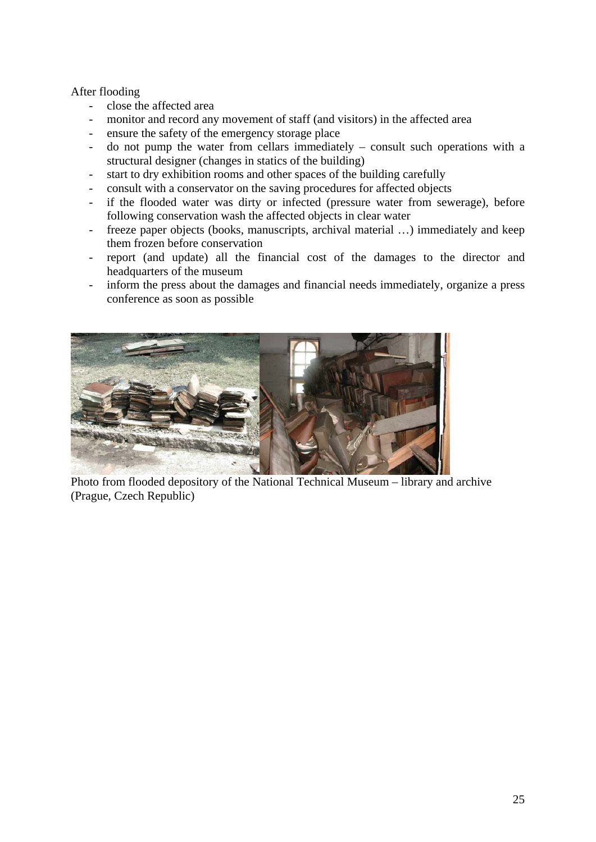### After flooding

- close the affected area
- monitor and record any movement of staff (and visitors) in the affected area
- ensure the safety of the emergency storage place
- do not pump the water from cellars immediately consult such operations with a structural designer (changes in statics of the building)
- start to dry exhibition rooms and other spaces of the building carefully
- consult with a conservator on the saving procedures for affected objects
- if the flooded water was dirty or infected (pressure water from sewerage), before following conservation wash the affected objects in clear water
- freeze paper objects (books, manuscripts, archival material …) immediately and keep them frozen before conservation
- report (and update) all the financial cost of the damages to the director and headquarters of the museum
- inform the press about the damages and financial needs immediately, organize a press conference as soon as possible



Photo from flooded depository of the National Technical Museum – library and archive (Prague, Czech Republic)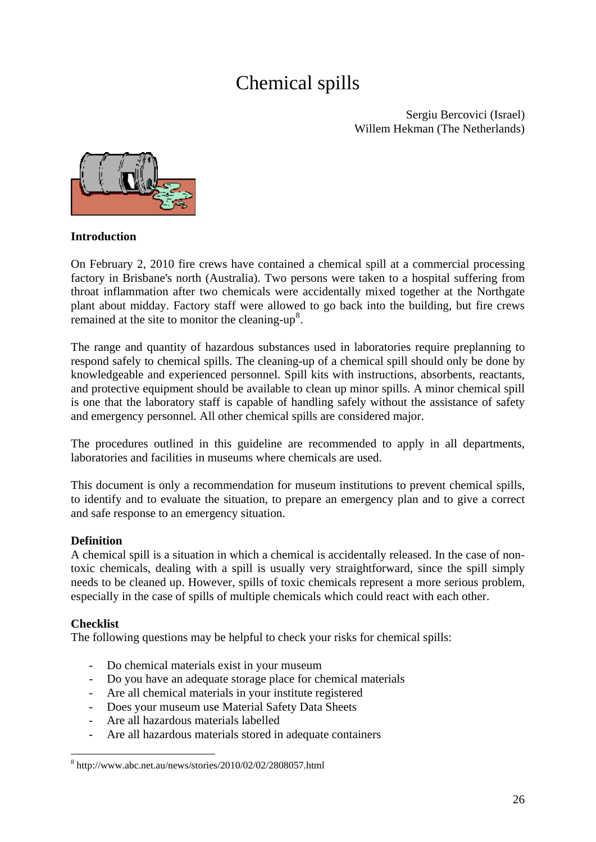# Chemical spills

Sergiu Bercovici (Israel) Willem Hekman (The Netherlands)



### **Introduction**

On February 2, 2010 fire crews have contained a chemical spill at a commercial processing factory in Brisbane's north (Australia). Two persons were taken to a hospital suffering from throat inflammation after two chemicals were accidentally mixed together at the Northgate plant about midday. Factory staff were allowed to go back into the building, but fire crews remained at the site to monitor the cleaning- $up<sup>8</sup>$  $up<sup>8</sup>$  $up<sup>8</sup>$ .

The range and quantity of hazardous substances used in laboratories require preplanning to respond safely to chemical spills. The cleaning-up of a chemical spill should only be done by knowledgeable and experienced personnel. Spill kits with instructions, absorbents, reactants, and protective equipment should be available to clean up minor spills. A minor chemical spill is one that the laboratory staff is capable of handling safely without the assistance of safety and emergency personnel. All other chemical spills are considered major.

The procedures outlined in this guideline are recommended to apply in all departments, laboratories and facilities in museums where chemicals are used.

This document is only a recommendation for museum institutions to prevent chemical spills, to identify and to evaluate the situation, to prepare an emergency plan and to give a correct and safe response to an emergency situation.

### **Definition**

A [chemical](http://www.wisegeek.com/what-is-a-chemical.htm) spill is a situation in which a chemical is accidentally released. In the case of nontoxic chemicals, dealing with a spill is usually very straightforward, since the spill simply needs to be cleaned up. However, spills of toxic chemicals represent a more serious problem, especially in the case of spills of multiple chemicals which could react with each other.

### **Checklist**

1

The following questions may be helpful to check your risks for chemical spills:

- Do chemical materials exist in your museum
- Do you have an adequate storage place for chemical materials
- Are all chemical materials in your institute registered
- Does your museum use Material Safety Data Sheets
- Are all hazardous materials labelled
- Are all hazardous materials stored in adequate containers

<span id="page-25-0"></span><sup>8</sup> http://www.abc.net.au/news/stories/2010/02/02/2808057.html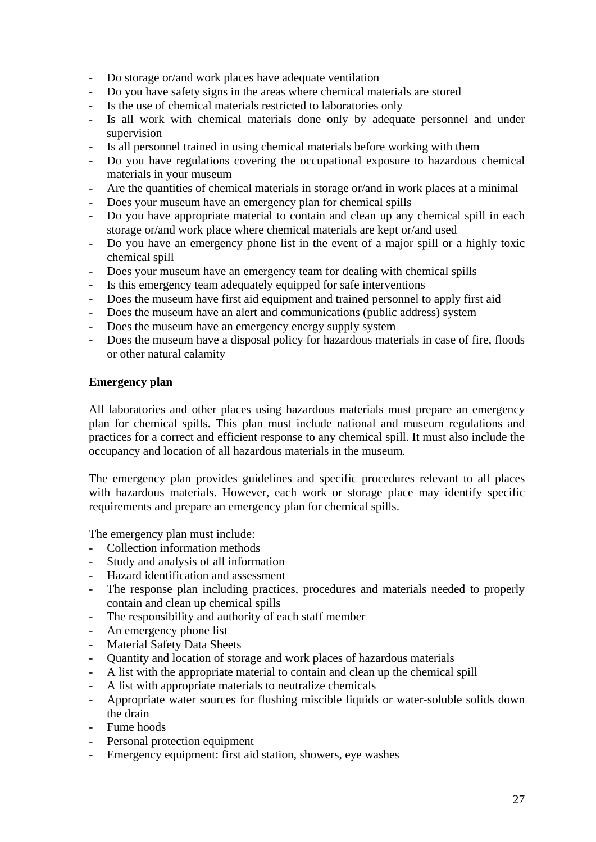- Do storage or/and work places have adequate ventilation
- Do you have safety signs in the areas where chemical materials are stored
- Is the use of chemical materials restricted to laboratories only
- Is all work with chemical materials done only by adequate personnel and under supervision
- Is all personnel trained in using chemical materials before working with them
- Do you have regulations covering the occupational exposure to hazardous chemical materials in your museum
- Are the quantities of chemical materials in storage or/and in work places at a minimal
- Does your museum have an emergency plan for chemical spills
- Do you have appropriate material to contain and clean up any chemical spill in each storage or/and work place where chemical materials are kept or/and used
- Do you have an emergency phone list in the event of a major spill or a highly toxic chemical spill
- Does your museum have an emergency team for dealing with chemical spills
- Is this emergency team adequately equipped for safe interventions
- Does the museum have first aid equipment and trained personnel to apply first aid
- Does the museum have an alert and communications (public address) system
- Does the museum have an emergency energy supply system
- Does the museum have a disposal policy for hazardous materials in case of fire, floods or other natural calamity

### **Emergency plan**

All laboratories and other places using hazardous materials must prepare an emergency plan for chemical spills. This plan must include national and museum regulations and practices for a correct and efficient response to any chemical spill. It must also include the occupancy and location of all hazardous materials in the museum.

The emergency plan provides guidelines and specific procedures relevant to all places with hazardous materials. However, each work or storage place may identify specific requirements and prepare an emergency plan for chemical spills.

The emergency plan must include:

- Collection information methods
- Study and analysis of all information
- Hazard identification and assessment
- The response plan including practices, procedures and materials needed to properly contain and clean up chemical spills
- The responsibility and authority of each staff member
- An emergency phone list
- Material Safety Data Sheets
- Quantity and location of storage and work places of hazardous materials
- A list with the appropriate material to contain and clean up the chemical spill
- A list with appropriate materials to neutralize chemicals
- Appropriate water sources for flushing miscible liquids or water-soluble solids down the drain
- Fume hoods
- Personal protection equipment
- Emergency equipment: first aid station, showers, eye washes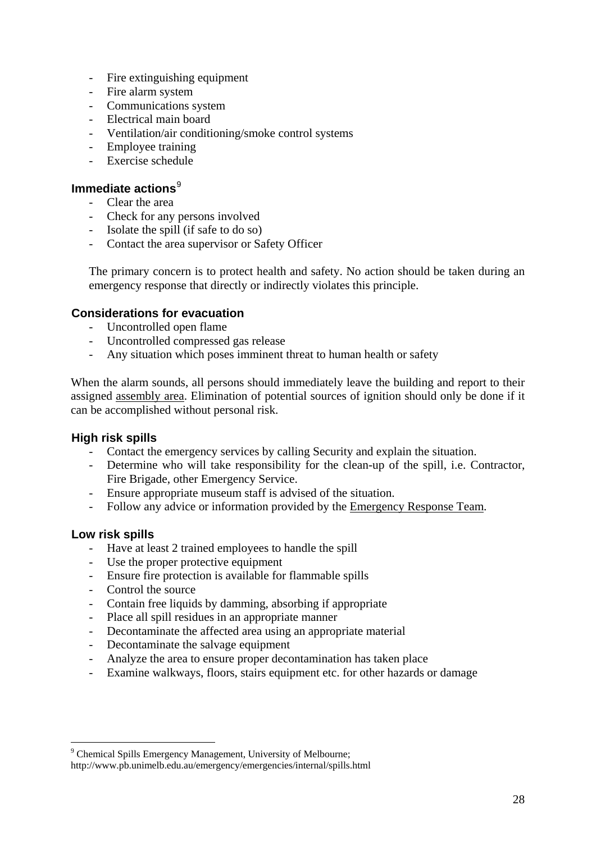- Fire extinguishing equipment
- Fire alarm system
- Communications system
- Electrical main board
- Ventilation/air conditioning/smoke control systems
- Employee training
- Exercise schedule

### **Immediate actions**<sup>[9](#page-27-0)</sup>

- Clear the area
- Check for any persons involved
- Isolate the spill (if safe to do so)
- Contact the area supervisor or Safety Officer

The primary concern is to protect health and safety. No action should be taken during an emergency response that directly or indirectly violates this principle.

### **Considerations for evacuation**

- Uncontrolled open flame
- Uncontrolled compressed gas release
- Any situation which poses imminent threat to human health or safety

When the alarm sounds, all persons should immediately leave the building and report to their assigned [assembly area](http://www.pb.unimelb.edu.au/emergency/emergencies/evacuation/assemblyareas.html). Elimination of potential sources of ignition should only be done if it can be accomplished without personal risk.

### **High risk spills**

- Contact the emergency services by calling Security and explain the situation.
- Determine who will take responsibility for the clean-up of the spill, i.e. Contractor, Fire Brigade, other Emergency Service.
- Ensure appropriate museum staff is advised of the situation.
- Follow any advice or information provided by the [Emergency Response Team.](http://www.pb.unimelb.edu.au/emergency/ert/chemrad.html)

### **Low risk spills**

1

- Have at least 2 trained employees to handle the spill
- Use the proper protective equipment
- Ensure fire protection is available for flammable spills
- Control the source
- Contain free liquids by damming, absorbing if appropriate
- Place all spill residues in an appropriate manner
- Decontaminate the affected area using an appropriate material
- Decontaminate the salvage equipment
- Analyze the area to ensure proper decontamination has taken place
- Examine walkways, floors, stairs equipment etc. for other hazards or damage

<span id="page-27-0"></span><sup>&</sup>lt;sup>9</sup> Chemical Spills Emergency Management, University of Melbourne; http://www.pb.unimelb.edu.au/emergency/emergencies/internal/spills.html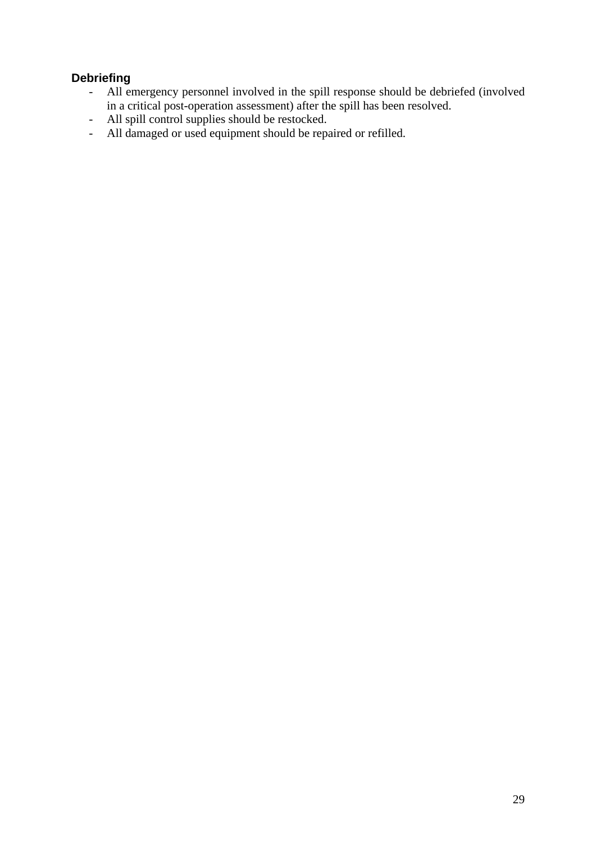## **Debriefing**

- All emergency personnel involved in the spill response should be debriefed (involved in a critical post-operation assessment) after the spill has been resolved.
- All spill control supplies should be restocked.
- All damaged or used equipment should be repaired or refilled.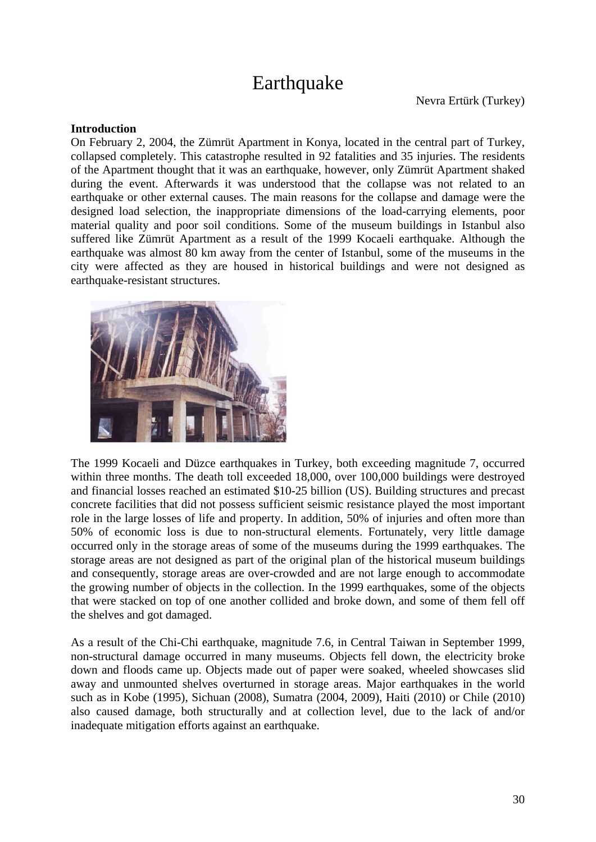# **Earthquake**

### **Introduction**

On February 2, 2004, the Zümrüt Apartment in Konya, located in the central part of Turkey, collapsed completely. This catastrophe resulted in 92 fatalities and 35 injuries. The residents of the Apartment thought that it was an earthquake, however, only Zümrüt Apartment shaked during the event. Afterwards it was understood that the collapse was not related to an earthquake or other external causes. The main reasons for the collapse and damage were the designed load selection, the inappropriate dimensions of the load-carrying elements, poor material quality and poor soil conditions. Some of the museum buildings in Istanbul also suffered like Zümrüt Apartment as a result of the 1999 Kocaeli earthquake. Although the earthquake was almost 80 km away from the center of Istanbul, some of the museums in the city were affected as they are housed in historical buildings and were not designed as earthquake-resistant structures.



The 1999 Kocaeli and Düzce earthquakes in Turkey, both exceeding magnitude 7, occurred within three months. The death toll exceeded 18,000, over 100,000 buildings were destroyed and financial losses reached an estimated \$10-25 billion (US). Building structures and precast concrete facilities that did not possess sufficient seismic resistance played the most important role in the large losses of life and property. In addition, 50% of injuries and often more than 50% of economic loss is due to non-structural elements. Fortunately, very little damage occurred only in the storage areas of some of the museums during the 1999 earthquakes. The storage areas are not designed as part of the original plan of the historical museum buildings and consequently, storage areas are over-crowded and are not large enough to accommodate the growing number of objects in the collection. In the 1999 earthquakes, some of the objects that were stacked on top of one another collided and broke down, and some of them fell off the shelves and got damaged.

As a result of the Chi-Chi earthquake, magnitude 7.6, in Central Taiwan in September 1999, non-structural damage occurred in many museums. Objects fell down, the electricity broke down and floods came up. Objects made out of paper were soaked, wheeled showcases slid away and unmounted shelves overturned in storage areas. Major earthquakes in the world such as in Kobe (1995), Sichuan (2008), Sumatra (2004, 2009), Haiti (2010) or Chile (2010) also caused damage, both structurally and at collection level, due to the lack of and/or inadequate mitigation efforts against an earthquake.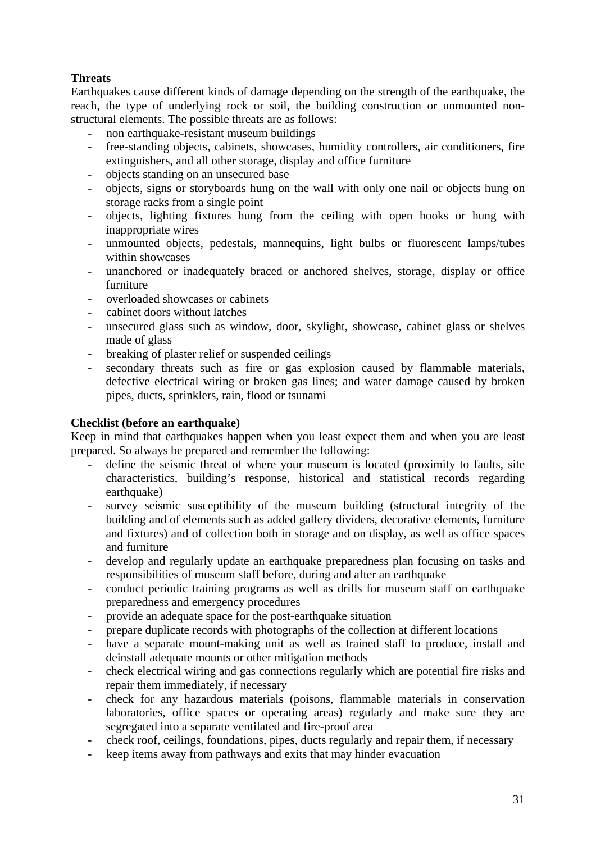### **Threats**

Earthquakes cause different kinds of damage depending on the strength of the earthquake, the reach, the type of underlying rock or soil, the building construction or unmounted nonstructural elements. The possible threats are as follows:

- non earthquake-resistant museum buildings
- free-standing objects, cabinets, showcases, humidity controllers, air conditioners, fire extinguishers, and all other storage, display and office furniture
- objects standing on an unsecured base
- objects, signs or storyboards hung on the wall with only one nail or objects hung on storage racks from a single point
- objects, lighting fixtures hung from the ceiling with open hooks or hung with inappropriate wires
- unmounted objects, pedestals, mannequins, light bulbs or fluorescent lamps/tubes within showcases
- unanchored or inadequately braced or anchored shelves, storage, display or office furniture
- overloaded showcases or cabinets
- cabinet doors without latches
- unsecured glass such as window, door, skylight, showcase, cabinet glass or shelves made of glass
- breaking of plaster relief or suspended ceilings
- secondary threats such as fire or gas explosion caused by flammable materials, defective electrical wiring or broken gas lines; and water damage caused by broken pipes, ducts, sprinklers, rain, flood or tsunami

### **Checklist (before an earthquake)**

Keep in mind that earthquakes happen when you least expect them and when you are least prepared. So always be prepared and remember the following:

- define the seismic threat of where your museum is located (proximity to faults, site characteristics, building's response, historical and statistical records regarding earthquake)
- survey seismic susceptibility of the museum building (structural integrity of the building and of elements such as added gallery dividers, decorative elements, furniture and fixtures) and of collection both in storage and on display, as well as office spaces and furniture
- develop and regularly update an earthquake preparedness plan focusing on tasks and responsibilities of museum staff before, during and after an earthquake
- conduct periodic training programs as well as drills for museum staff on earthquake preparedness and emergency procedures
- provide an adequate space for the post-earthquake situation
- prepare duplicate records with photographs of the collection at different locations
- have a separate mount-making unit as well as trained staff to produce, install and deinstall adequate mounts or other mitigation methods
- check electrical wiring and gas connections regularly which are potential fire risks and repair them immediately, if necessary
- check for any hazardous materials (poisons, flammable materials in conservation laboratories, office spaces or operating areas) regularly and make sure they are segregated into a separate ventilated and fire-proof area
- check roof, ceilings, foundations, pipes, ducts regularly and repair them, if necessary
- keep items away from pathways and exits that may hinder evacuation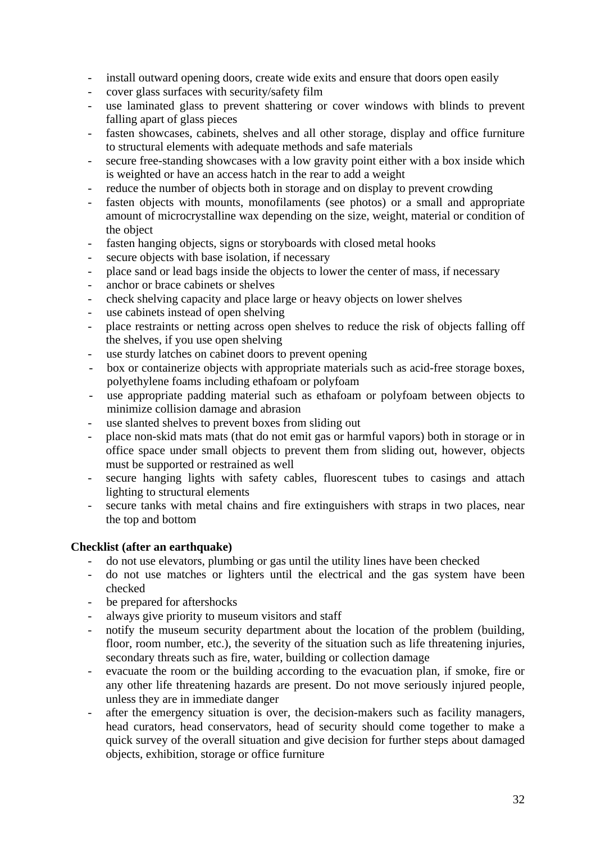- install outward opening doors, create wide exits and ensure that doors open easily
- cover glass surfaces with security/safety film
- use laminated glass to prevent shattering or cover windows with blinds to prevent falling apart of glass pieces
- fasten showcases, cabinets, shelves and all other storage, display and office furniture to structural elements with adequate methods and safe materials
- secure free-standing showcases with a low gravity point either with a box inside which is weighted or have an access hatch in the rear to add a weight
- reduce the number of objects both in storage and on display to prevent crowding
- fasten objects with mounts, monofilaments (see photos) or a small and appropriate amount of microcrystalline wax depending on the size, weight, material or condition of the object
- fasten hanging objects, signs or storyboards with closed metal hooks
- secure objects with base isolation, if necessary
- place sand or lead bags inside the objects to lower the center of mass, if necessary
- anchor or brace cabinets or shelves
- check shelving capacity and place large or heavy objects on lower shelves
- use cabinets instead of open shelving
- place restraints or netting across open shelves to reduce the risk of objects falling off the shelves, if you use open shelving
- use sturdy latches on cabinet doors to prevent opening
- box or containerize objects with appropriate materials such as acid-free storage boxes, polyethylene foams including ethafoam or polyfoam
- use appropriate padding material such as ethafoam or polyfoam between objects to minimize collision damage and abrasion
- use slanted shelves to prevent boxes from sliding out
- place non-skid mats mats (that do not emit gas or harmful vapors) both in storage or in office space under small objects to prevent them from sliding out, however, objects must be supported or restrained as well
- secure hanging lights with safety cables, fluorescent tubes to casings and attach lighting to structural elements
- secure tanks with metal chains and fire extinguishers with straps in two places, near the top and bottom

### **Checklist (after an earthquake)**

- do not use elevators, plumbing or gas until the utility lines have been checked
- do not use matches or lighters until the electrical and the gas system have been checked
- be prepared for aftershocks
- always give priority to museum visitors and staff
- notify the museum security department about the location of the problem (building, floor, room number, etc.), the severity of the situation such as life threatening injuries, secondary threats such as fire, water, building or collection damage
- evacuate the room or the building according to the evacuation plan, if smoke, fire or any other life threatening hazards are present. Do not move seriously injured people, unless they are in immediate danger
- after the emergency situation is over, the decision-makers such as facility managers, head curators, head conservators, head of security should come together to make a quick survey of the overall situation and give decision for further steps about damaged objects, exhibition, storage or office furniture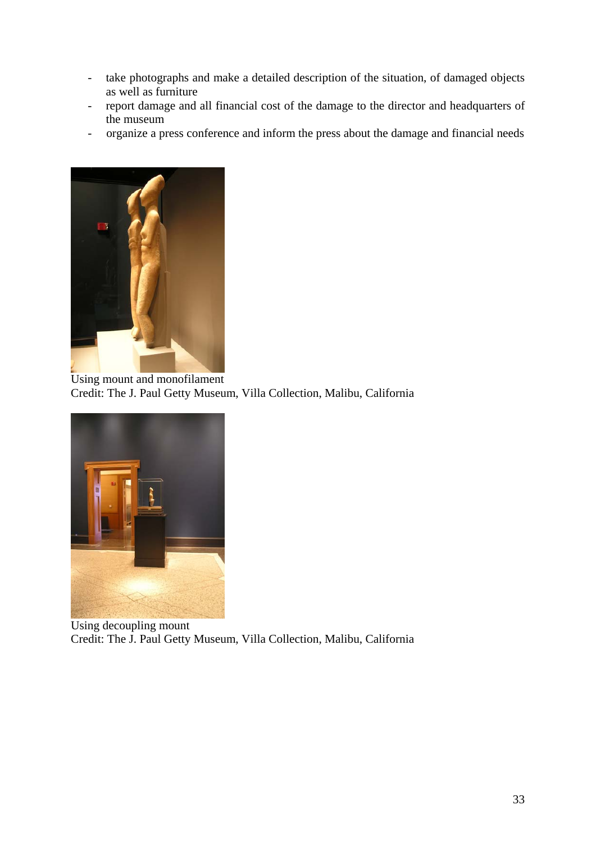- take photographs and make a detailed description of the situation, of damaged objects as well as furniture
- report damage and all financial cost of the damage to the director and headquarters of the museum
- organize a press conference and inform the press about the damage and financial needs



Using mount and monofilament Credit: The J. Paul Getty Museum, Villa Collection, Malibu, California



Using decoupling mount Credit: The J. Paul Getty Museum, Villa Collection, Malibu, California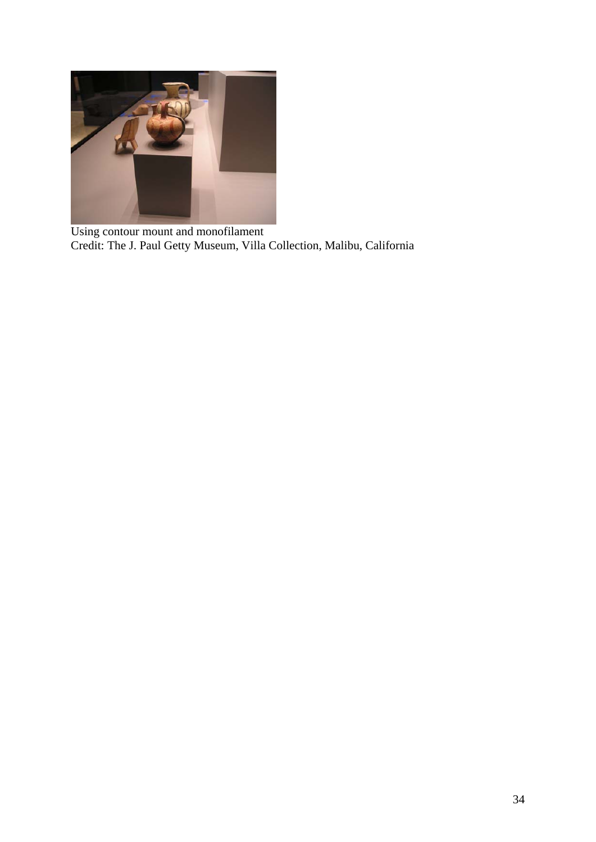

Using contour mount and monofilament Credit: The J. Paul Getty Museum, Villa Collection, Malibu, California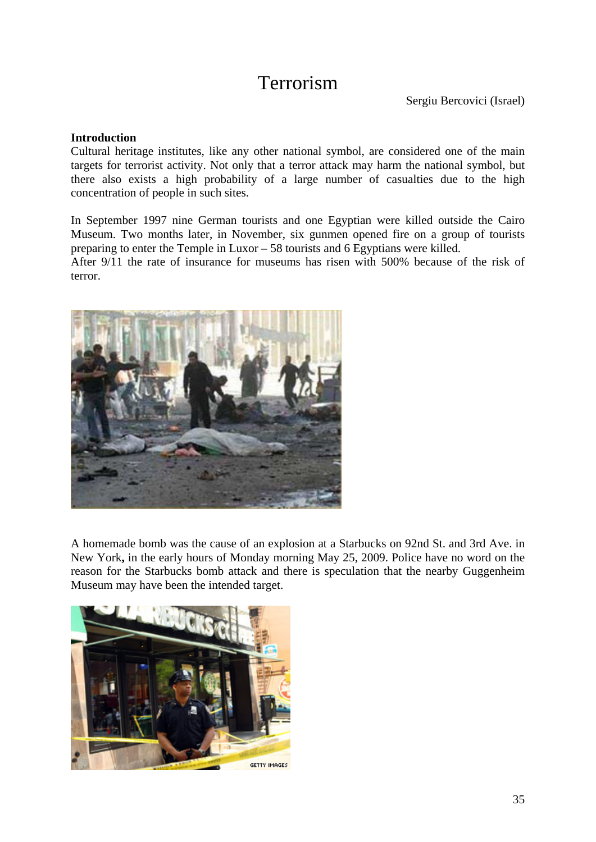# Terrorism

### **Introduction**

Cultural heritage institutes, like any other national symbol, are considered one of the main targets for terrorist activity. Not only that a terror attack may harm the national symbol, but there also exists a high probability of a large number of casualties due to the high concentration of people in such sites.

In September 1997 nine German tourists and one Egyptian were killed outside the Cairo Museum. Two months later, in November, six gunmen opened fire on a group of tourists preparing to enter the Temple in Luxor – 58 tourists and 6 Egyptians were killed.

After 9/11 the rate of insurance for museums has risen with 500% because of the risk of terror.



A homemade bomb was the cause of an explosion at a Starbucks on 92nd St. and 3rd Ave. in New York**,** in the early hours of Monday morning May 25, 2009. Police have no word on the reason for the Starbucks bomb attack and there is speculation that the nearby Guggenheim Museum may have been the intended target.

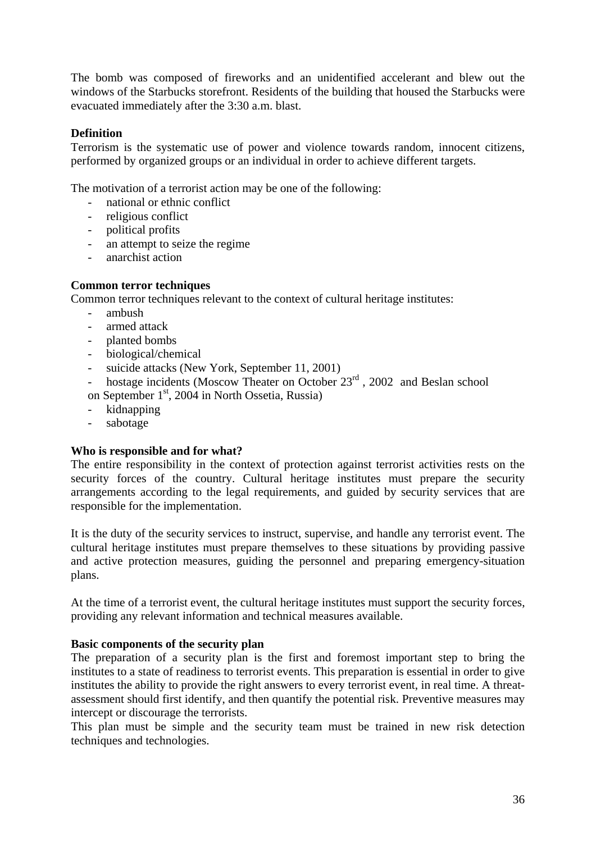The bomb was composed of fireworks and an unidentified accelerant and blew out the windows of the Starbucks storefront. Residents of the building that housed the Starbucks were evacuated immediately after the 3:30 a.m. blast.

### **Definition**

Terrorism is the systematic use of power and violence towards random, innocent citizens, performed by organized groups or an individual in order to achieve different targets.

The motivation of a terrorist action may be one of the following:

- national or ethnic conflict
- religious conflict
- political profits
- an attempt to seize the regime
- anarchist action

### **Common terror techniques**

Common terror techniques relevant to the context of cultural heritage institutes:

- ambush
- armed attack
- planted bombs
- biological/chemical
- suicide attacks (New York, September 11, 2001)
- hostage incidents (Moscow Theater on October  $23<sup>rd</sup>$ , 2002 and Beslan school
- on September 1<sup>st</sup>, 2004 in North Ossetia, Russia)
- kidnapping
- sabotage

### **ho is responsible and for what? W**

The entire responsibility in the context of protection against terrorist activities rests on the security forces of the country. Cultural heritage institutes must prepare the security arrangements according to the legal requirements, and guided by security services that are responsible for the implementation.

It is the duty of the security services to instruct, supervise, and handle any terrorist event. The cultural heritage institutes must prepare themselves to these situations by providing passive and active protection measures, guiding the personnel and preparing emergency-situation pla ns.

At the time of a terrorist event, the cultural heritage institutes must support the security forces, providing any relevant information and technical measures available.

### **Basic components of the security plan**

institutes the ability to provide the right answers to every terrorist event, in real time. A threatassessment should first identify, and then quantify the potential risk. Preventive measures may The preparation of a security plan is the first and foremost important step to bring the institutes to a state of readiness to terrorist events. This preparation is essential in order to give intercept or discourage the terrorists.

This plan must be simple and the security team must be trained in new risk detection techniques and technologies.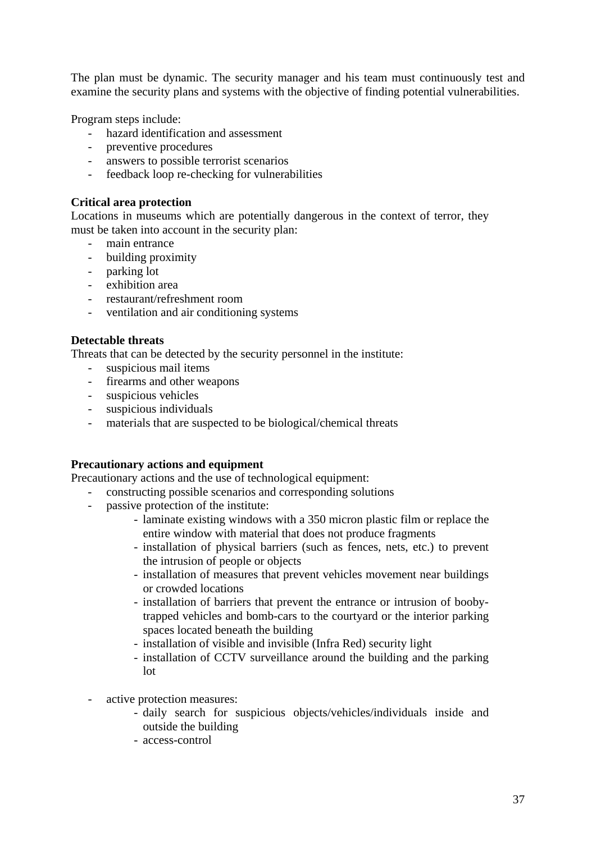The plan must be dynamic. The security manager and his team must continuously test and examine the security plans and systems with the objective of finding potential vulnerabilities.

Program steps include:

- hazard identification and assessment
- preventive procedures
- answers to possible terrorist scenarios
- feedback loop re-checking for vulnerabilities

### **Critical area protection**

must be taken into account in the security plan: Locations in museums which are potentially dangerous in the context of terror, they

- main entrance
- building proximity
- parking lot
- exhibition area
- restaurant/refreshment room
- ventilation and air conditioning systems

### **Detectable threats**

Threats that can be detected by the security personnel in the institute:

- suspicious mail items -
- firearms and other weapons
- suspicious vehicles
- suspicious individuals
- materials that are suspected to be biological/chemical threats

### **Precautionary actions and equipment**

Precautionary actions and the use of technological equipment:

- constructing possible scenarios and corresponding solutions
- passive protection of the institute: -
	- laminate existing windows with a 350 micron plastic film or replace the entire window with material that does not produce fragments
	- installation of physical barriers (such as fences, nets, etc.) to prevent the intrusion of people or objects
	- installation of measures that prevent vehicles movement near buildings or crowded locations
	- installation of barriers that prevent the entrance or intrusion of boobytrapped vehicles and bomb-cars to the courtyard or the interior parking spaces located beneath the building
	- installation of visible and invisible (Infra Red) security light
	- installation of CCTV surveillance around the building and the parking lot
- active protection measures:
	- daily search for suspicious objects/vehicles/individuals inside and outside the building
	- access-control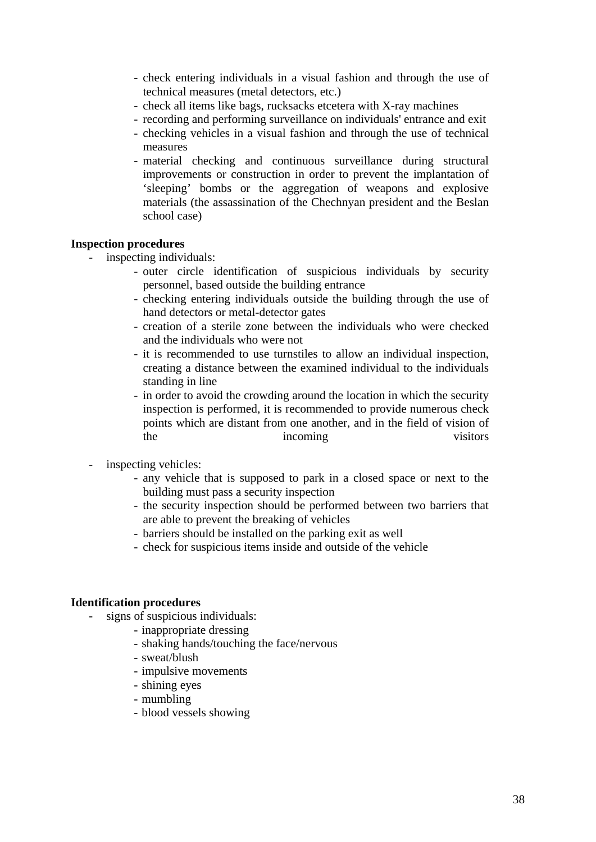- check entering individuals in a visual fashion and through the use of technical measures (metal detectors, etc.)
- check all items like bags, rucksacks etcetera with X-ray machines
- recording and performing surveillance on individuals' entrance and exit
- checking vehicles in a visual fashion and through the use of technical measures
- improvements or construction in order to prevent the implantation of 'sleeping' bombs or the aggregation of weapons and explosive materials (the assassination of the Chechnyan president and the Beslan - material checking and continuous surveillance during structural school case)

#### **Inspection p rocedures**

- inspe cting individuals:
	- outer circle identification of suspicious individuals by security personnel, based outside the building entrance
	- checking entering individuals outside the building through the use of hand detectors or metal-detector gates
	- creation of a sterile zone between the individuals who were checked and the individuals who were not
	- it is recommended to use turnstiles to allow an individual inspection, creating a distance between the examined individual to the individuals standing in line
	- in order to avoid the crowding around the location in which the security inspection is performed, it is recommended to provide numerous check points which are distant from one another, and in the field of vision of incoming visitors the
- inspect ing vehicles:
	- any vehicle that is supposed to park in a closed space or next to the building must pass a security inspection
	- are able to prevent the breaking of vehicles - the security inspection should be performed between two barriers that
	- barriers should be installed on the parking exit as well
	- check for suspicious items inside and outside of the vehicle

#### **Identification procedures**

- signs o f suspicious individuals:
	- inappropriate dressing
	- shaking hands/touching the face/nervous
	- sweat/blush
	- impulsive movements
	- shining eyes
	- mumbling
	- blood vessels showing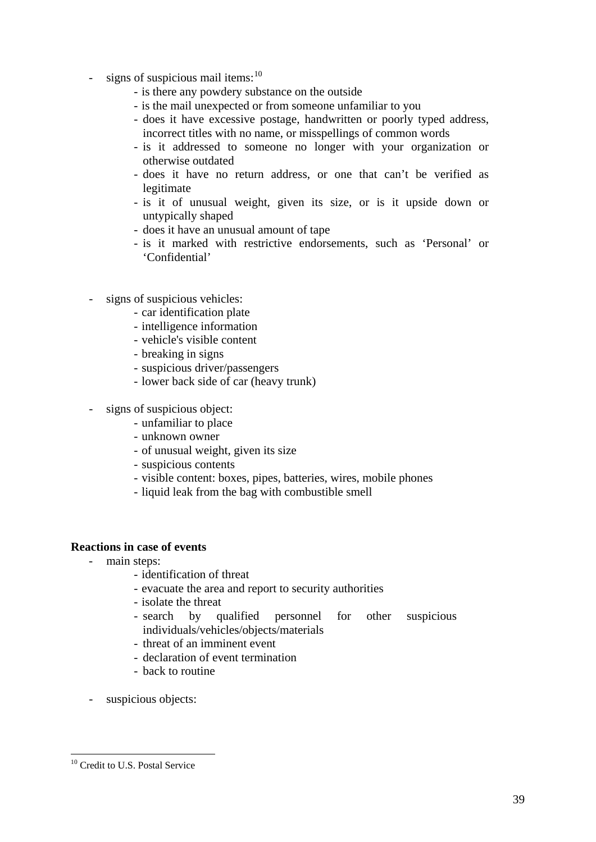- signs of suspicious mail items: $^{10}$ 
	- is there any powdery substance on the outside
	- is the mail unexpected or from someone unfamiliar to you
	- does it have excessive postage, handwritten or poorly typed address, incorrect titles with no name, or misspellings of common words
	- is it addressed to someone no longer with your organization or otherwise outdated
	- does it have no return address, or one that can't be verified as legitimate
	- is it of unusual weight, given its size, or is it upside down or untypically shaped
	- does it have an unusual amount of tape
	- is it marked with restrictive endorsements, such as 'Personal' or 'Confidential'
- signs of suspicious vehicles:
	- car identification plate
	- intelligence information
	- vehicle's visible content
	- breaking in signs
	- suspicious driver/passengers
	- lower back side of car (heavy trunk)
- signs of suspicious object:
	- unfamiliar to place
	- unknown owner
	- of unusual weight, given its size
	- suspicious contents
	- visible content: boxes, pipes, batteries, wires, mobile phones
	- liquid leak from the bag with combustible smell

### **Reactions in case of events**

- main steps:
	- identification of threat
	- evacuate the area and report to security authorities
	- isolate the threat
	- fied personnel for other suspicious - search by individuals/vehicles/objects/materials
	- threat of an imminent event
	- declaration of event termination
	- back to routine
- suspicious objects:

1

<sup>&</sup>lt;sup>10</sup> Credit to U.S. Postal Service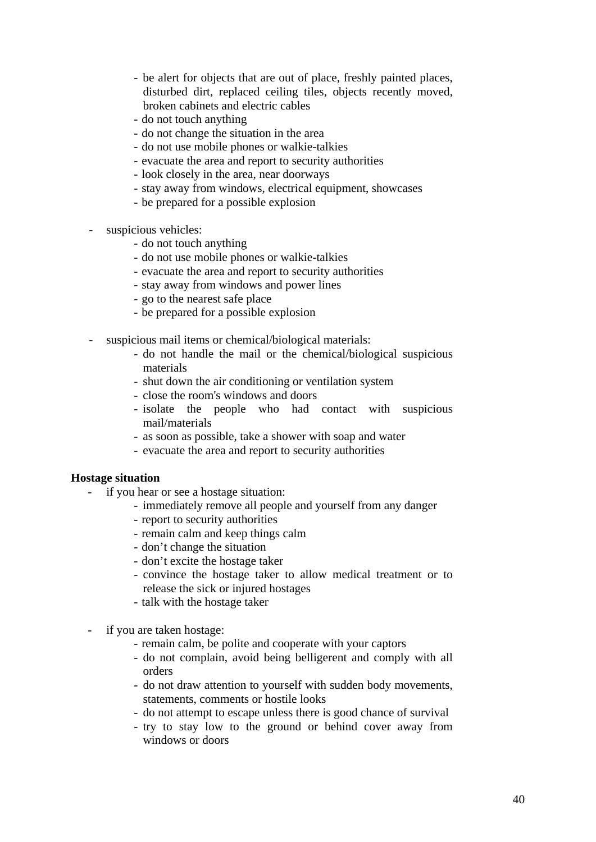- be alert for objects that are out of place, freshly painted places, disturbed dirt, replaced ceiling tiles, objects recently moved, broken cabinets and electric cables
- do not touch anything
- do not change the situation in the area
- do not use mobile phones or walkie-talkies
- evacuate the area and report to security authorities
- look closely in the area, near doorways
- stay away from windows, electrical equipment, showcases
- be prepared for a possible explosion
- suspici ous vehicles:
	- do not touch anything
	- do not use mobile phones or walkie-talkies
	- evacuate the area and report to security authorities
	- stay away from windows and power lines
	- go to the nearest safe place
	- be prepared for a possible explosion
- suspicious mail items or chemical/biological materials: -
	- do not handle the mail or the chemical/biological suspicious materials
	- shut down the air conditioning or ventilation system
	- close the room's windows and doors
	- isolate the people who had contact with suspicious mail/materials
	- as soon as possible, take a shower with soap and water
	- evacuate the area and report to security authorities

### **Hostage situation**

- if you hear or see a hostage situation:
	- immediately remove all people and yourself from any danger
	- report to security authorities
	- remain calm and keep things calm
	- don't change the situation
	- don't excite the hostage taker
	- convince the hostage taker to allow medical treatment or to release the sick or injured hostages
	- talk with the hostage taker
- if you are taken hostage:
	- remain calm, be polite and cooperate with your captors
	- do not complain, avoid being belligerent and comply with all orders
	- do not draw attention to yourself with sudden body movements, statements, comments or hostile looks
	- do not attempt to escape unless there is good chance of survival
	- try to stay low to the ground or behind cover away from windows or doors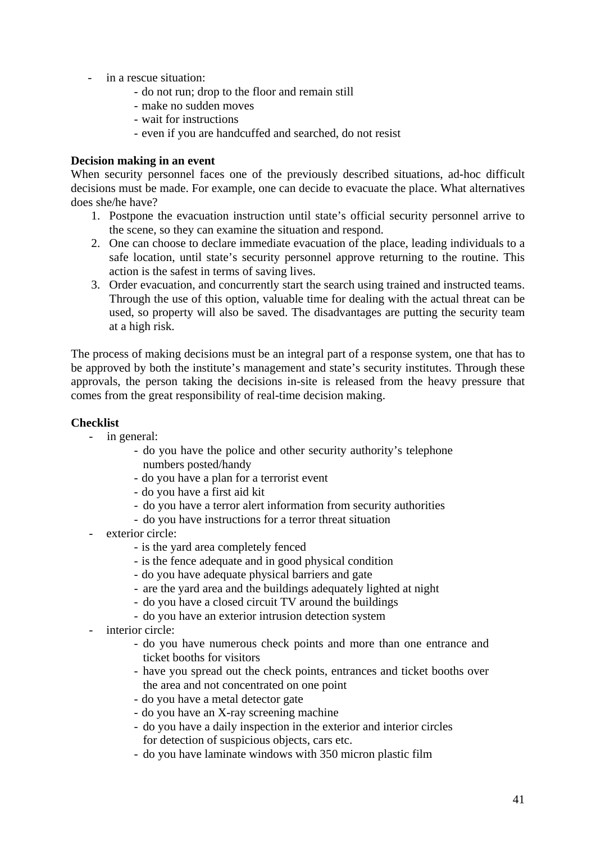- in a rescue situation:
	- do not run; drop to the floor and remain still
	- make no sudden moves
	- wait for instructions
	- even if you are handcuffed and searched, do not resist

### **Dec ision making in an event**

When security personnel faces one of the previously described situations, ad-hoc difficult decisions must be made. For example, one can decide to evacuate the place. What alternatives does she/he have?

- 1. Postpone the evacuation instruction until state's official security personnel arrive to the scene, so they can examine the situation and respond.
- 2. One can choose to declare immediate evacuation of the place, leading individuals to a safe location, until state's security personnel approve returning to the routine. This action is the safest in terms of saving lives.
- 3. Order evacuation, and concurrently start the search using trained and instructed teams. at a high risk. Through the use of this option, valuable time for dealing with the actual threat can be used, so property will also be saved. The disadvantages are putting the security team

The process of making decisions must be an integral part of a response system, one that has to comes from the great responsibility of real-time decision making. be approved by both the institute's management and state's security institutes. Through these approvals, the person taking the decisions in-site is released from the heavy pressure that

### **Checklist**

- in general:
	- do you have the police and other security authority's telephone numbers posted/handy
	- do you have a plan for a terrorist event
	- do you have a first aid kit
	- do you have a terror alert information from security authorities
	- do you have instructions for a terror threat situation
- exterior circle:
	- is the yard area completely fenced
	- is the fence adequate and in good physical condition
	- do you have adequate physical barriers and gate
	- are the yard area and the buildings adequately lighted at night
	- do you have a closed circuit TV around the buildings
	- do you have an exterior intrusion detection system
- interior circle:
	- do you have numerous check points and more than one entrance and ticket booths for visitors
	- have you spread out the check points, entrances and ticket booths over the area and not concentrated on one point
	- do you have a metal detector gate
	- do you have an X-ray screening machine
	- do you have a daily inspection in the exterior and interior circles for detection of suspicious objects, cars etc.
	- do you have laminate windows with 350 micron plastic film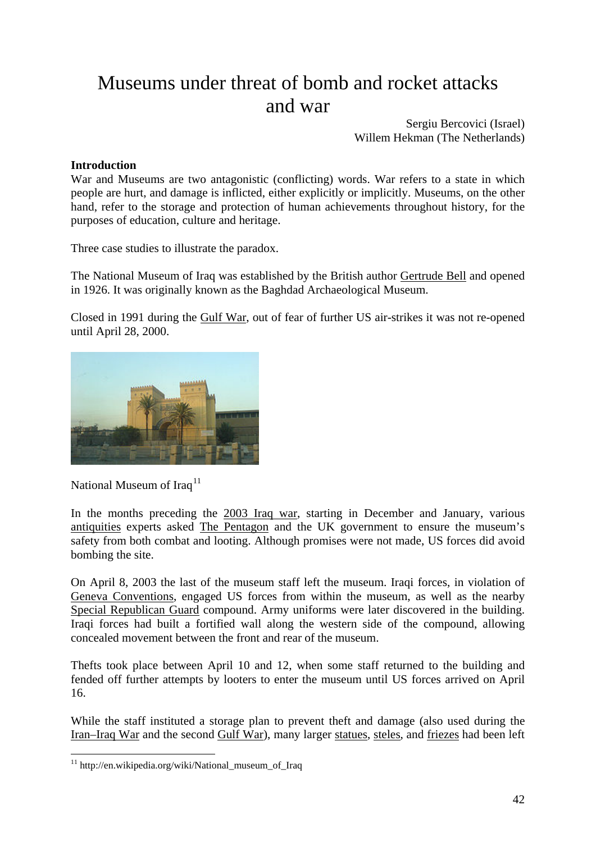# Museums under threat of bomb and rocket attacks and war

Sergiu Bercovici (Israel) Willem Hekman (The Netherlands)

### **Introduction**

War and Museums are two antagonistic (conflicting) words. War refers to a state in which people are h urt, and damage is inflicted, either explicitly or implicitly. Museums, on the other hand, refer to the storage and protection of human achievements throughout history, for the purpo ses of education, culture and heritage.

Three case studies to illustrate the paradox.

The National Museum of Iraq was established by the British author Gertrude Bell and opened in 1926. It was originally known as the Baghdad Archaeological Museum.

Closed in 1991 during the Gulf War, out of fear of further US air-strikes it was not re-opened until April 28, 2000.



National Museum of Iraq<sup>11</sup>

1

In the months preceding the 2003 Iraq war, starting in December and January, various antiquities experts asked The Pentagon and the UK government to ensure the museum's safety from both combat and looting. Although promises were not made, US forces did avoid bombing the site.

On April 8, 2003 the last of the museum staff left the museum. Iraqi forces, in violation of Geneva Conventions, engaged US forces from within the museum, as well as the nearby [Special Republican Guard](#page-41-0) compound. Army uniforms were later discovered in the building. Iraqi forces had built a fortified wall along the western side of the compound, allowing concealed movement between the front and rear of the museum.

fended off further attempts by looters to enter the museum until US forces arrived on April 16. Thefts took place between April 10 and 12, when some staff returned to the building and

While the staff instituted a storage plan to prevent theft and damage (also used during the [Iran–Iraq War](http://en.wikipedia.org/wiki/Geneva_Conventions) and the second [Gulf War\), many larger statues, steles, and friezes](http://en.wikipedia.org/wiki/Special_Republican_Guard) had been left

<span id="page-41-0"></span><sup>&</sup>lt;sup>11</sup> http://en.wikipedia.org/wiki/National\_museum\_of\_Iraq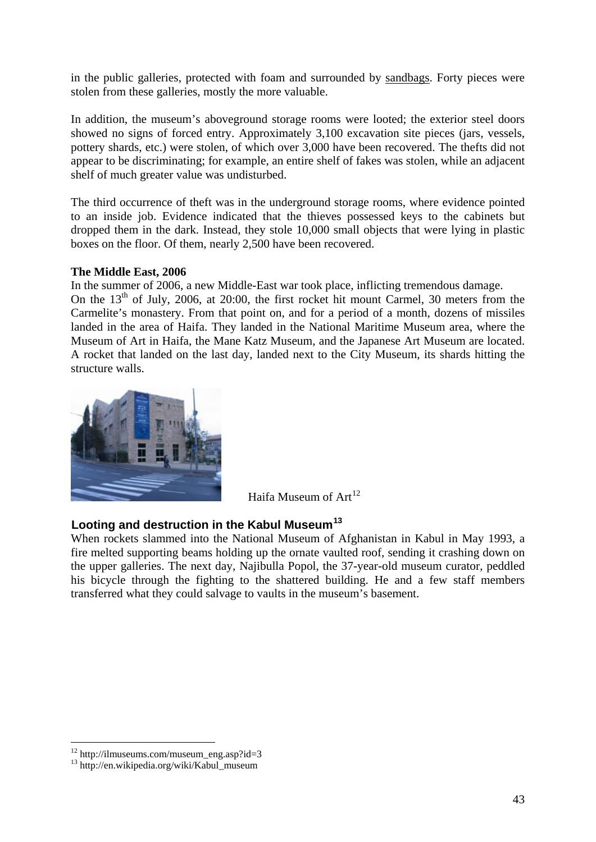in the public galleries, protected with foam and surrounded by [sandbags](http://en.wikipedia.org/wiki/Special_Republican_Guard). Forty pieces were stolen from these galleries, mostly the more valuable.

In addition, the museum's aboveground storage rooms were looted; the exterior steel doors showed no signs of forced entry. Approximately 3,100 excavation site pieces (jars, vessels, pottery shards, etc.) were stolen, of which over 3,000 have been recovered. The thefts did not appear to be discriminating; for example, an entire shelf of fakes was stolen, while an adjacent shelf of much greater value was undisturbed.

to an inside job. Evidence indicated that the thieves possessed keys to the cabinets but dropped them in the dark. Instead, they stole 10,000 small objects that were lying in plastic The third occurrence of theft was in the underground storage rooms, where evidence pointed boxes on the floor. Of them, nearly 2,500 have been recovered.

### **The Middle East, 2006**

On the  $13<sup>th</sup>$  of July, 2006, at 20:00, the first rocket hit mount Carmel, 30 meters from the Carmelite's monastery. From that point on, and for a period of a month, dozens of missiles In the summer of 2006, a new Middle-East war took place, inflicting tremendous damage. landed in the area of Haifa. They landed in the National Maritime Museum area, where the Museum of Art in Haifa, the Mane Katz Museum, and the Japanese Art Museum are located. A rocket that landed on the last day, landed next to the City Museum, its shards hitting the structure walls.



Haifa Museum of  $Art<sup>12</sup>$ 

### **Looting and destruction in the Kabul Museum<sup>13</sup>**

When rockets slammed into the National Museum of Afghanistan in Kabul in May 1993, a fire melted supporting beams holding up the ornate vaulted roof, sending it crashing down on the upper galleries. The next day, Najibulla Popol, the 37-year-old museum curator, peddled his bicycle through the fighting to the shattered building. He and a few staff members transferred what they could salvage to vaults in the museum's basement.

1

 $12$  http://ilmuseums.com/museum\_eng.asp?id=3

<sup>&</sup>lt;sup>13</sup> http://en.wikipedia.org/wiki/Kabul\_museum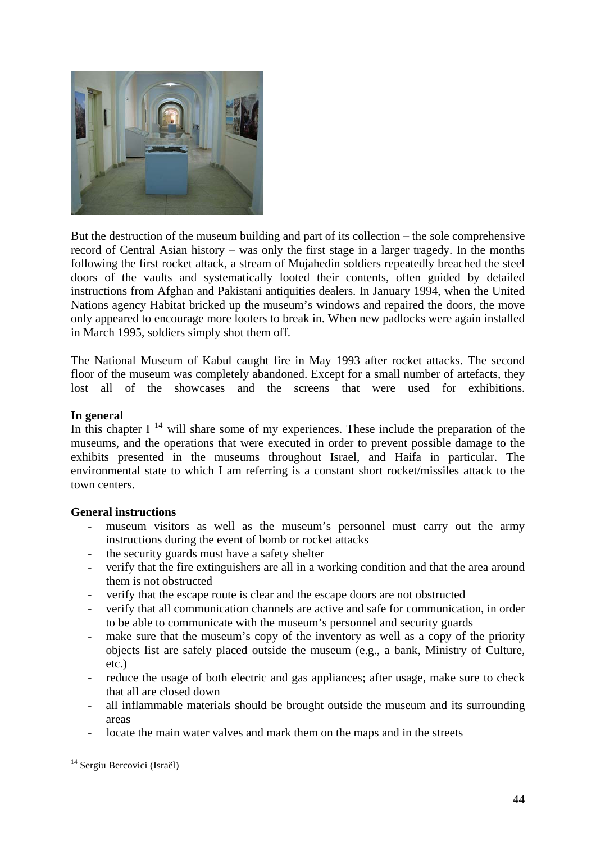

But the destruction of the museum building and part of its collection – the sole comprehensive record of Central Asian history – was only the first stage in a larger tragedy. In the months following the first rocket attack, a stream of Mujahedin soldiers repeatedly breached the steel doors of the vaults and systematically looted their contents, often guided by detailed instructions from Afghan and Pakistani antiquities dealers. In January 1994, when the United Nations agency Habitat bricked up the museum's windows and repaired the doors, the move only appeared to encourage more looters to break in. When new padlocks were again installed in March 1995, soldiers simply shot them off.

The National Museum of Kabul caught fire in May 1993 after rocket attacks. The second floor of the museum was completely abandoned. Except for a small number of artefacts, they lost all of the showcases and the screens that were used for exhibitions.

### **In general**

In this chapter I<sup>[14](#page-43-0)</sup> will share some of my experiences. These include the preparation of the museums, and the operations that were executed in order to prevent possible damage to the exhibits presented in the museums throughout Israel, and Haifa in particular. The environmental state to which I am referring is a constant short rocket/missiles attack to the town centers.

### **General instructions**

- museum visitors as well as the museum's personnel must carry out the army instructions during the event of bomb or rocket attacks
- the security guards must have a safety shelter
- verify that the fire extinguishers are all in a working condition and that the area around them is not obstructed
- verify that the escape route is clear and the escape doors are not obstructed
- verify that all communication channels are active and safe for communication, in order to be able to communicate with the museum's personnel and security guards
- make sure that the museum's copy of the inventory as well as a copy of the priority objects list are safely placed outside the museum (e.g., a bank, Ministry of Culture, etc.)
- reduce the usage of both electric and gas appliances; after usage, make sure to check that all are closed down
- all inflammable materials should be brought outside the museum and its surrounding areas
- locate the main water valves and mark them on the maps and in the streets

<span id="page-43-0"></span><sup>1</sup> <sup>14</sup> Sergiu Bercovici (Israël)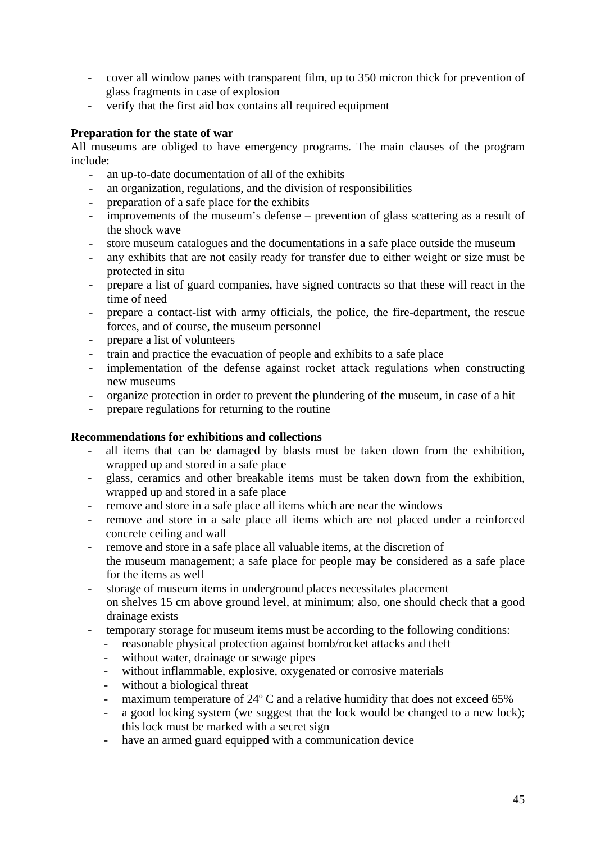- cover all window panes with transparent film, up to 350 micron thick for prevention of glass fragments in case of explosion
- verify that the first aid box contains all required equipment

### **Preparation for the state of war**

All museums are obliged to have emergency programs. The main clauses of the program include:

- an up-to-date documentation of all of the exhibits
- an organization, regulations, and the division of responsibilities
- preparation of a safe place for the exhibits
- improvements of the museum's defense prevention of glass scattering as a result of the shock wave
- store museum catalogues and the documentations in a safe place outside the museum
- any exhibits that are not easily ready for transfer due to either weight or size must be protected in situ
- prepare a list of guard companies, have signed contracts so that these will react in the time of need
- prepare a contact-list with army officials, the police, the fire-department, the rescue forces, and of course, the museum personnel
- prepare a list of volunteers
- train and practice the evacuation of people and exhibits to a safe place
- implementation of the defense against rocket attack regulations when constructing new museums
- organize protection in order to prevent the plundering of the museum, in case of a hit
- prepare regulations for returning to the routine

### **Recommendations for exhibitions and collections**

- all items that can be damaged by blasts must be taken down from the exhibition, wrapped up and stored in a safe place
- glass, ceramics and other breakable items must be taken down from the exhibition, wrapped up and stored in a safe place
- remove and store in a safe place all items which are near the windows
- remove and store in a safe place all items which are not placed under a reinforced concrete ceiling and wall
- remove and store in a safe place all valuable items, at the discretion of the museum management; a safe place for people may be considered as a safe place for the items as well
- storage of museum items in underground places necessitates placement on shelves 15 cm above ground level, at minimum; also, one should check that a good drainage exists
- temporary storage for museum items must be according to the following conditions:
	- reasonable physical protection against bomb/rocket attacks and theft
	- without water, drainage or sewage pipes
	- without inflammable, explosive, oxygenated or corrosive materials
	- without a biological threat
	- maximum temperature of 24° C and a relative humidity that does not exceed 65%
	- a good locking system (we suggest that the lock would be changed to a new lock); this lock must be marked with a secret sign
	- have an armed guard equipped with a communication device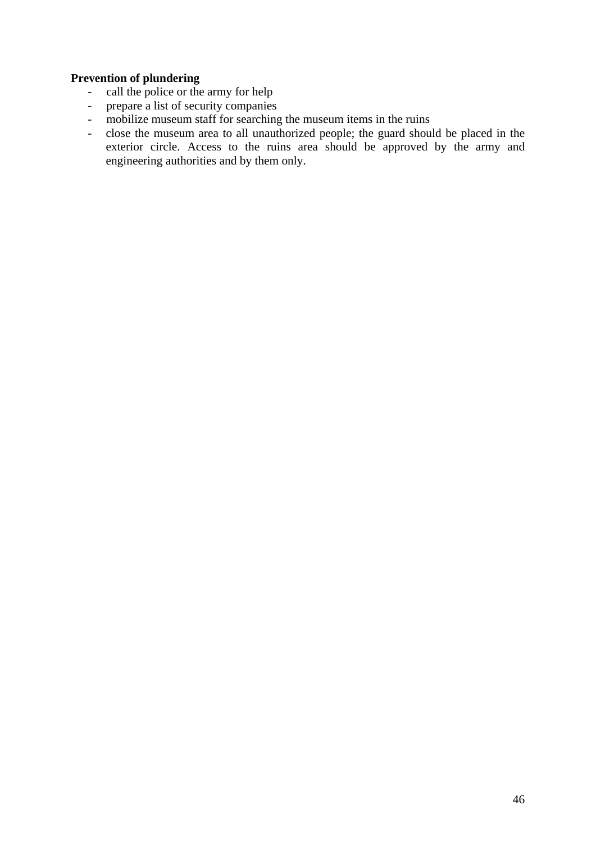### **Prevention of plundering**

- call the police or the army for help
- prepare a list of security companies
- mobilize museum staff for searching the museum items in the ruins
- close the museum area to all unauthorized people; the guard should be placed in the exterior circle. Access to the ruins area should be approved by the army and engineering authorities and by them only.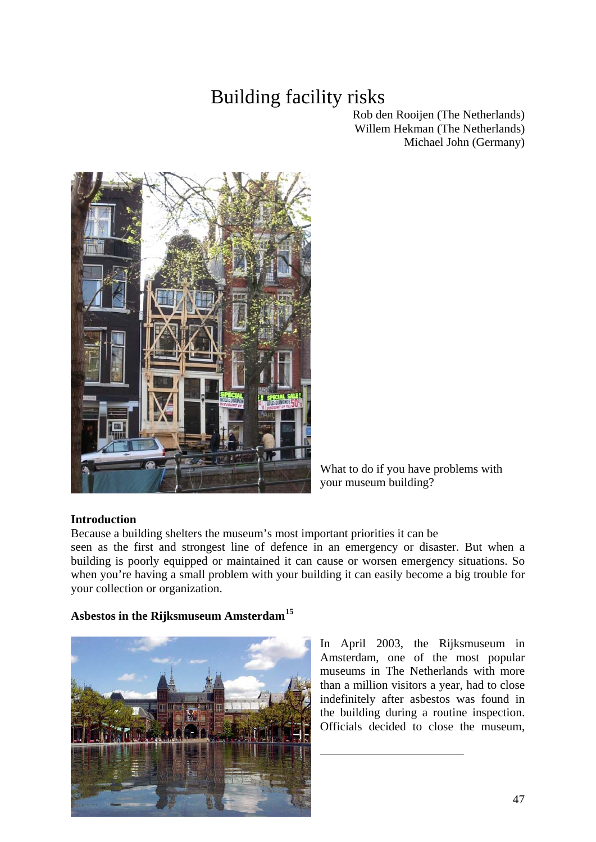# Building facility risks

Rob den Rooijen (The Netherlands) Willem Hekman (The Netherlands) Michael John (Germany)



What to do if you have problems with your museum building?

### **Introduction**

Because a building shelters the museum's most important priorities it can be

seen as the first and strongest line of defence in an emergency or disaster. But when a building is poorly equipped or maintained it can cause or worsen emergency situations. So when you're having a small problem with your building it can easily become a big trouble for your collection or organization.

### **Asbestos in the Rijksmuseum Amsterdam[15](#page-46-0)**

<span id="page-46-0"></span>

In April 2003, the Rijksmuseum in Amsterdam, one of the most popular museums in The Netherlands with more than a million visitors a year, had to close indefinitely after asbestos was found in the building during a routine inspection. Officials decided to close the museum,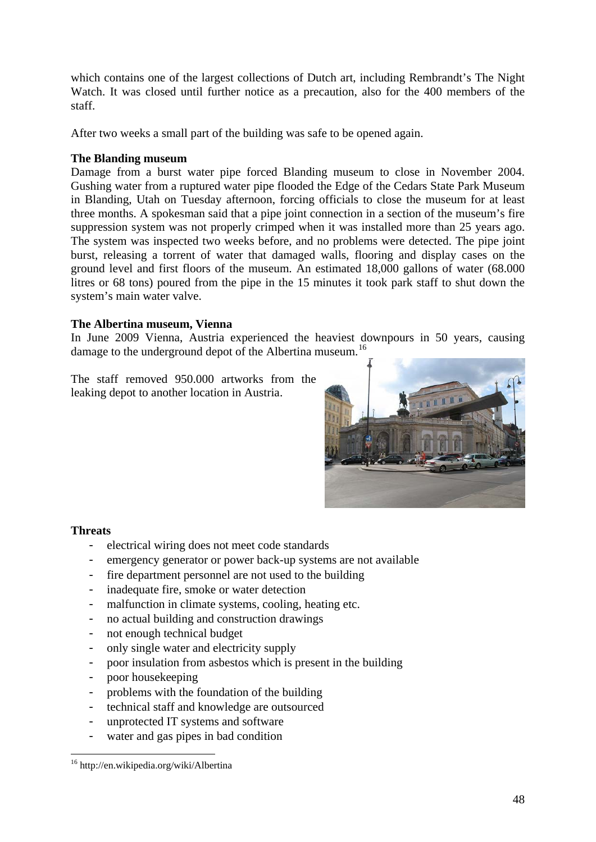which contains one of the largest collections of Dutch art, including Rembrandt's The Night Watch. It was closed until further notice as a precaution, also for the 400 members of the staff.

After two weeks a small part of the building was safe to be opened again.

### **The Blanding museum**

Damage from a burst water pipe forced Blanding museum to close in November 2004. Gushing water from a ruptured water pipe flooded the Edge of the Cedars State Park Museum in Blanding, Utah on Tuesday afternoon, forcing officials to close the museum for at least three months. A spokesman said that a pipe joint connection in a section of the museum's fire suppression system was not properly crimped when it was installed more than 25 years ago. The system was inspected two weeks before, and no problems were detected. The pipe joint burst, releasing a torrent of water that damaged walls, flooring and display cases on the ground level and first floors of the museum. An estimated 18,000 gallons of water (68.000 litres or 68 tons) poured from the pipe in the 15 minutes it took park staff to shut down the system's main water valve.

### **The Albertina museum, Vienna**

In June 2009 Vienna, Austria experienced the heaviest downpours in 50 years, causing damage to the underground depot of the Albertina museum.<sup>[16](#page-47-0)</sup>

The staff removed 950.000 artworks from the leaking depot to another location in Austria.



### **Threats**

- electrical wiring does not meet code standards
- emergency generator or power back-up systems are not available
- fire department personnel are not used to the building
- inadequate fire, smoke or water detection
- malfunction in climate systems, cooling, heating etc.
- no actual building and construction drawings
- not enough technical budget
- only single water and electricity supply
- poor insulation from asbestos which is present in the building
- poor housekeeping
- problems with the foundation of the building
- technical staff and knowledge are outsourced
- unprotected IT systems and software
- water and gas pipes in bad condition

<span id="page-47-0"></span><sup>1</sup> 16 http://en.wikipedia.org/wiki/Albertina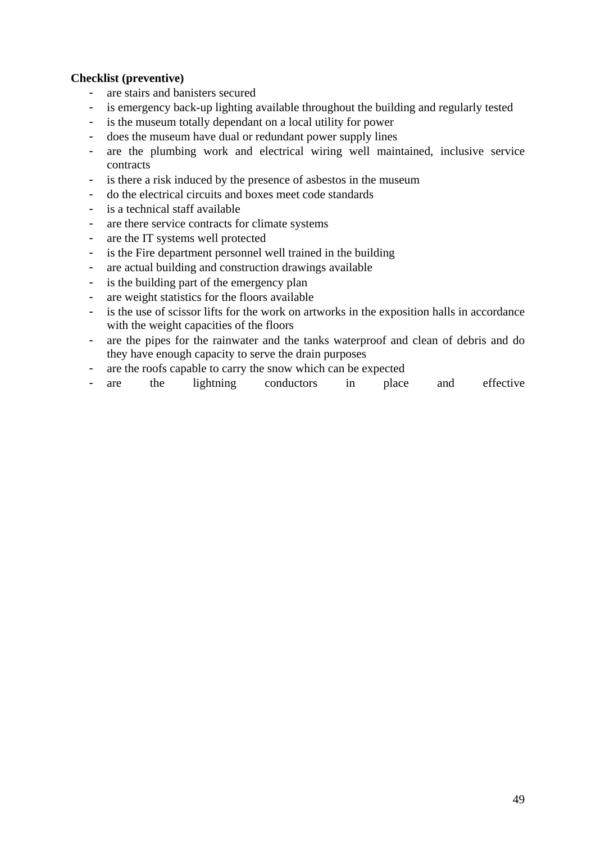### **Checklist (preventive)**

- are stairs and banisters secured
- is emergency back-up lighting available throughout the building and regularly tested
- is the museum totally dependant on a local utility for power
- does the museum have dual or redundant power supply lines
- are the plumbing work and electrical wiring well maintained, inclusive service contracts
- is there a risk induced by the presence of asbestos in the museum
- do the electrical circuits and boxes meet code standards
- is a technical staff available
- are there service contracts for climate systems
- are the IT systems well protected
- is the Fire department personnel well trained in the building
- are actual building and construction drawings available
- is the building part of the emergency plan
- are weight statistics for the floors available
- is the use of scissor lifts for the work on artworks in the exposition halls in accordance with the weight capacities of the floors
- are the pipes for the rainwater and the tanks waterproof and clean of debris and do they have enough capacity to serve the drain purposes
- are the roofs capable to carry the snow which can be expected
- are the lightning conductors in place and effective